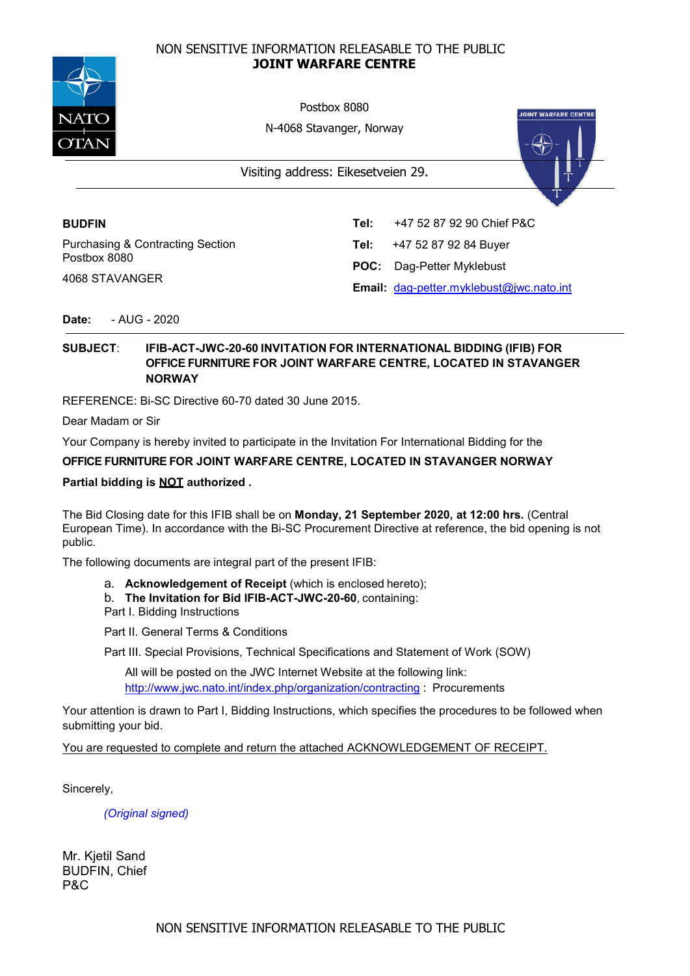#### NON SENSITIVE INFORMATION RELEASABLE TO THE PUBLIC **JOINT WARFARE CENTRE**



Postbox 8080

N-4068 Stavanger, Norway

Visiting address: Eikesetveien 29.



**BUDFIN** Purchasing & Contracting Section Postbox 8080

**Tel:** +47 52 87 92 90 Chief P&C

**Tel:** +47 52 87 92 84 Buyer

**POC:** Dag-Petter Myklebust

**Email:** [dag-petter.myklebust@jwc.nato.int](mailto:dag-petter.myklebust@jwc.nato.int)

**Date:** - AUG - 2020

4068 STAVANGER

#### **SUBJECT**: **IFIB-ACT-JWC-20-60 INVITATION FOR INTERNATIONAL BIDDING (IFIB) FOR OFFICE FURNITURE FOR JOINT WARFARE CENTRE, LOCATED IN STAVANGER NORWAY**

REFERENCE: Bi-SC Directive 60-70 dated 30 June 2015.

Dear Madam or Sir

Your Company is hereby invited to participate in the Invitation For International Bidding for the

#### **OFFICE FURNITURE FOR JOINT WARFARE CENTRE, LOCATED IN STAVANGER NORWAY**

#### **Partial bidding is NOT authorized .**

The Bid Closing date for this IFIB shall be on **Monday, 21 September 2020, at 12:00 hrs.** (Central European Time). In accordance with the Bi-SC Procurement Directive at reference, the bid opening is not public.

The following documents are integral part of the present IFIB:

- a. **Acknowledgement of Receipt** (which is enclosed hereto);
- b. **The Invitation for Bid IFIB-ACT-JWC-20-60**, containing:

Part I. Bidding Instructions

Part II. General Terms & Conditions

Part III. Special Provisions, Technical Specifications and Statement of Work (SOW)

All will be posted on the JWC Internet Website at the following link: <http://www.jwc.nato.int/index.php/organization/contracting> : Procurements

Your attention is drawn to Part I, Bidding Instructions, which specifies the procedures to be followed when submitting your bid.

You are requested to complete and return the attached ACKNOWLEDGEMENT OF RECEIPT.

Sincerely,

*(Original signed)*

Mr. Kjetil Sand BUDFIN, Chief P&C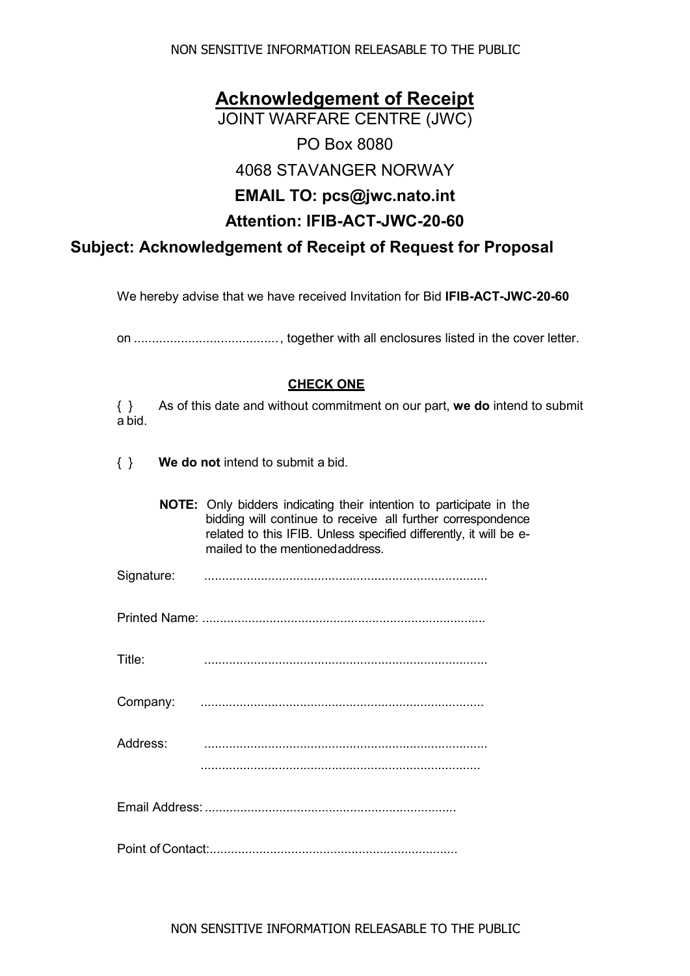NON SENSITIVE INFORMATION RELEASABLE TO THE PUBLIC

# <span id="page-1-0"></span>**Acknowledgement of Receipt** JOINT WARFARE CENTRE (JWC) PO Box 8080 4068 STAVANGER NORWAY **EMAIL TO: [pcs@jwc.nato.int](mailto:pcs@jwc.nato.int) Attention: IFIB-ACT-JWC-20-60 Subject: Acknowledgement of Receipt of Request for Proposal**

We hereby advise that we have received Invitation for Bid **IFIB-ACT-JWC-20-60**

on ........................................, together with all enclosures listed in the cover letter.

#### **CHECK ONE**

|        | As of this date and without commitment on our part, we do intend to submit |
|--------|----------------------------------------------------------------------------|
| a bid. |                                                                            |

{ } **We do not** intend to submit a bid.

|                                                                   | <b>NOTE:</b> Only bidders indicating their intention to participate in the |  |  |
|-------------------------------------------------------------------|----------------------------------------------------------------------------|--|--|
|                                                                   | bidding will continue to receive all further correspondence                |  |  |
| related to this IFIB. Unless specified differently, it will be e- |                                                                            |  |  |
|                                                                   | mailed to the mentioned address.                                           |  |  |

| $\sim$<br>Siqi |  |
|----------------|--|
|                |  |

Title: ................................................................................

Company: ................................................................................

Address: ................................................................................

...............................................................................

Email Address: .......................................................................

Point of Contact:......................................................................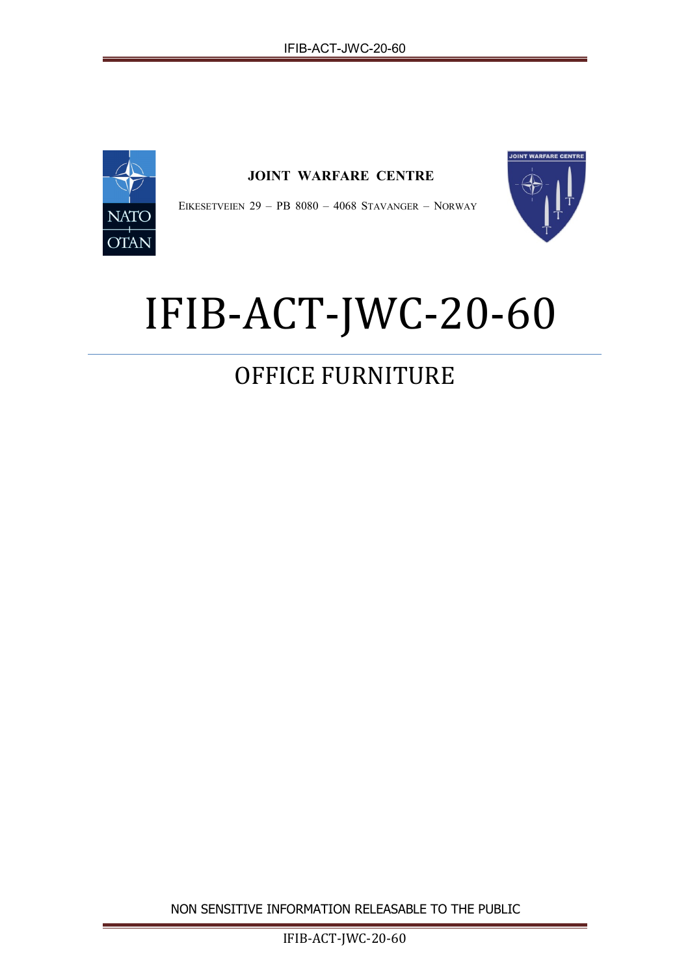

# **JOINT WARFARE CENTRE**

EIKESETVEIEN 29 – PB 8080 – 4068 STAVANGER – NORWAY



# IFIB-ACT-JWC-20-60

# OFFICE FURNITURE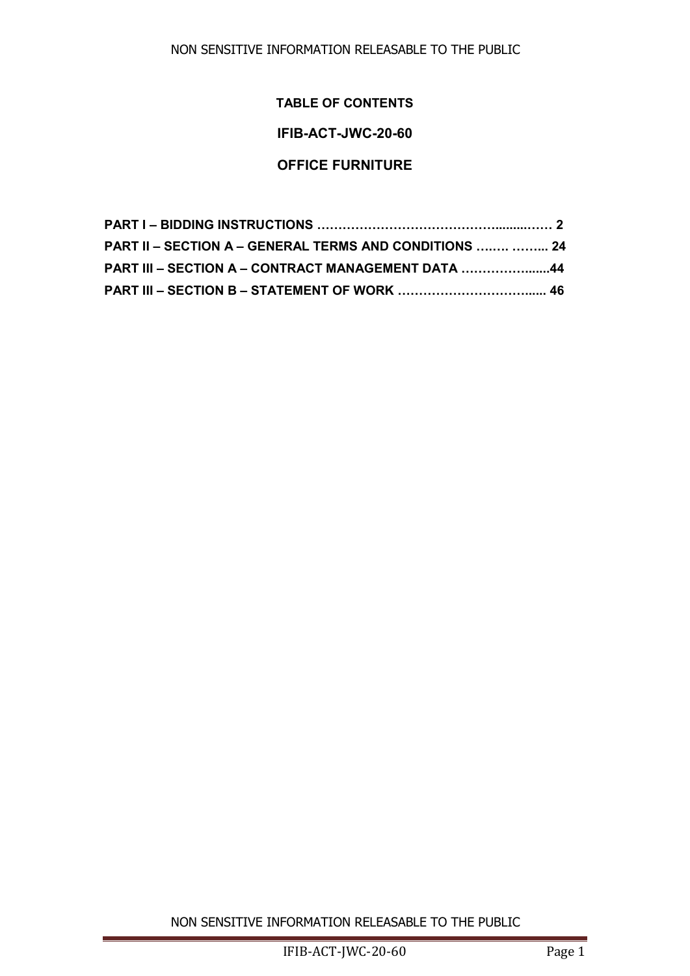# **TABLE OF CONTENTS**

# **IFIB-ACT-JWC-20-60**

# **OFFICE FURNITURE**

| PART II - SECTION A - GENERAL TERMS AND CONDITIONS   24 |  |
|---------------------------------------------------------|--|
| PART III - SECTION A - CONTRACT MANAGEMENT DATA 44      |  |
|                                                         |  |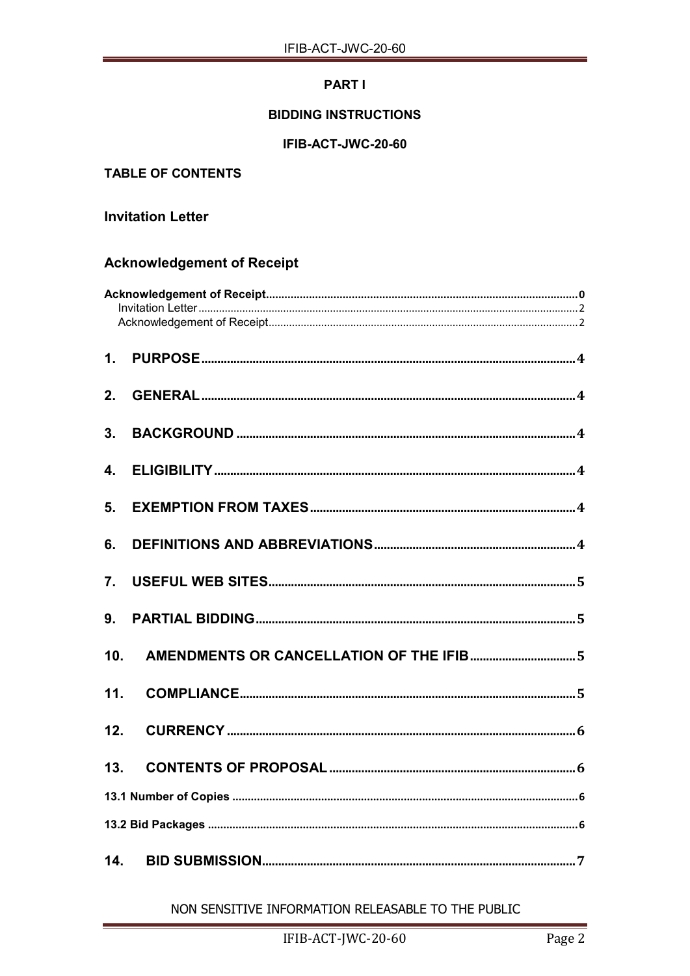# **PART I**

# **BIDDING INSTRUCTIONS**

#### IFIB-ACT-JWC-20-60

#### <span id="page-4-0"></span>**TABLE OF CONTENTS**

#### <span id="page-4-1"></span>**Invitation Letter**

# **Acknowledgement of Receipt**

| $\mathbf 1$ . |  |
|---------------|--|
| 2.            |  |
| 3.            |  |
| 4.            |  |
| 5.            |  |
| 6.            |  |
| 7.            |  |
| 9.            |  |
| 10.           |  |
| 11.           |  |
| 12.           |  |
| 13.           |  |
|               |  |
|               |  |
| 14.           |  |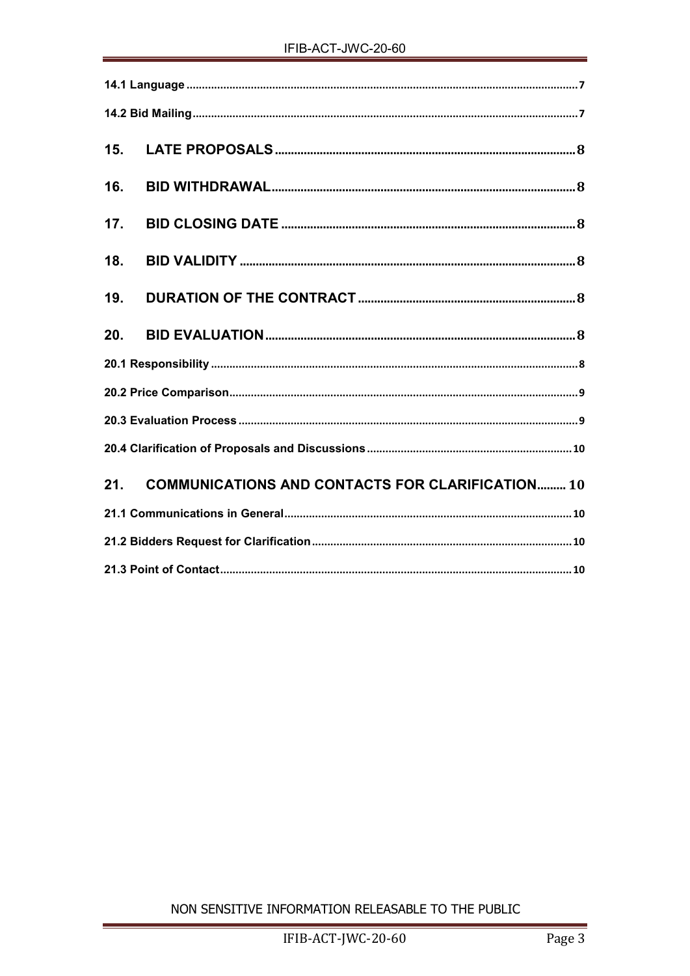| 15.                                                            |
|----------------------------------------------------------------|
| 16.                                                            |
| 17.                                                            |
| 18.                                                            |
| 19.                                                            |
| 20.                                                            |
|                                                                |
|                                                                |
|                                                                |
|                                                                |
| <b>COMMUNICATIONS AND CONTACTS FOR CLARIFICATION 10</b><br>21. |
|                                                                |
|                                                                |
|                                                                |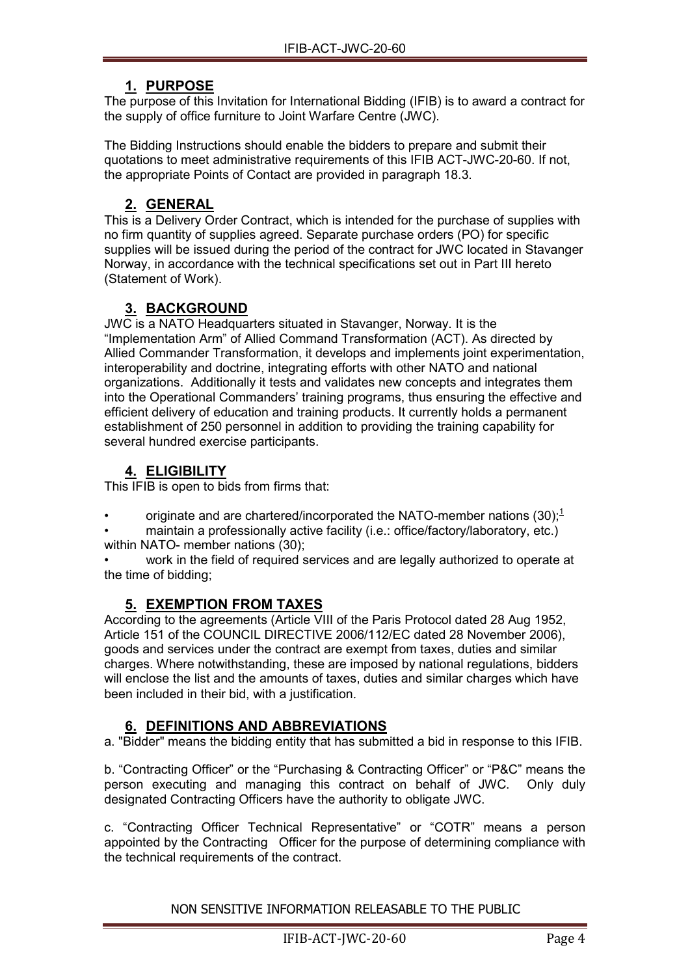# **1. PURPOSE**

<span id="page-6-0"></span>The purpose of this Invitation for International Bidding (IFIB) is to award a contract for the supply of office furniture to Joint Warfare Centre (JWC).

The Bidding Instructions should enable the bidders to prepare and submit their quotations to meet administrative requirements of this IFIB ACT-JWC-20-60. If not, the appropriate Points of Contact are provided in paragraph 18.3.

# **2. GENERAL**

<span id="page-6-1"></span>This is a Delivery Order Contract, which is intended for the purchase of supplies with no firm quantity of supplies agreed. Separate purchase orders (PO) for specific supplies will be issued during the period of the contract for JWC located in Stavanger Norway, in accordance with the technical specifications set out in Part III hereto (Statement of Work).

# **3. BACKGROUND**

<span id="page-6-2"></span>JWC is a NATO Headquarters situated in Stavanger, Norway. It is the "Implementation Arm" of Allied Command Transformation (ACT). As directed by Allied Commander Transformation, it develops and implements joint experimentation, interoperability and doctrine, integrating efforts with other NATO and national organizations. Additionally it tests and validates new concepts and integrates them into the Operational Commanders' training programs, thus ensuring the effective and efficient delivery of education and training products. It currently holds a permanent establishment of 250 personnel in addition to providing the training capability for several hundred exercise participants.

# **4. ELIGIBILITY**

<span id="page-6-3"></span>This IFIB is open to bids from firms that:

- originate and are chartered/incorporated the NATO-member nations  $(30)$ ;<sup>1</sup>
- maintain a professionally active facility (i.e.: office/factory/laboratory, etc.) within NATO- member nations (30);

• work in the field of required services and are legally authorized to operate at the time of bidding;

# **5. EXEMPTION FROM TAXES**

<span id="page-6-4"></span>According to the agreements (Article VIII of the Paris Protocol dated 28 Aug 1952, Article 151 of the COUNCIL DIRECTIVE 2006/112/EC dated 28 November 2006), goods and services under the contract are exempt from taxes, duties and similar charges. Where notwithstanding, these are imposed by national regulations, bidders will enclose the list and the amounts of taxes, duties and similar charges which have been included in their bid, with a justification.

# **6. DEFINITIONS AND ABBREVIATIONS**

<span id="page-6-5"></span>a. "Bidder" means the bidding entity that has submitted a bid in response to this IFIB.

b. "Contracting Officer" or the "Purchasing & Contracting Officer" or "P&C" means the person executing and managing this contract on behalf of JWC. Only duly designated Contracting Officers have the authority to obligate JWC.

c. "Contracting Officer Technical Representative" or "COTR" means a person appointed by the Contracting Officer for the purpose of determining compliance with the technical requirements of the contract.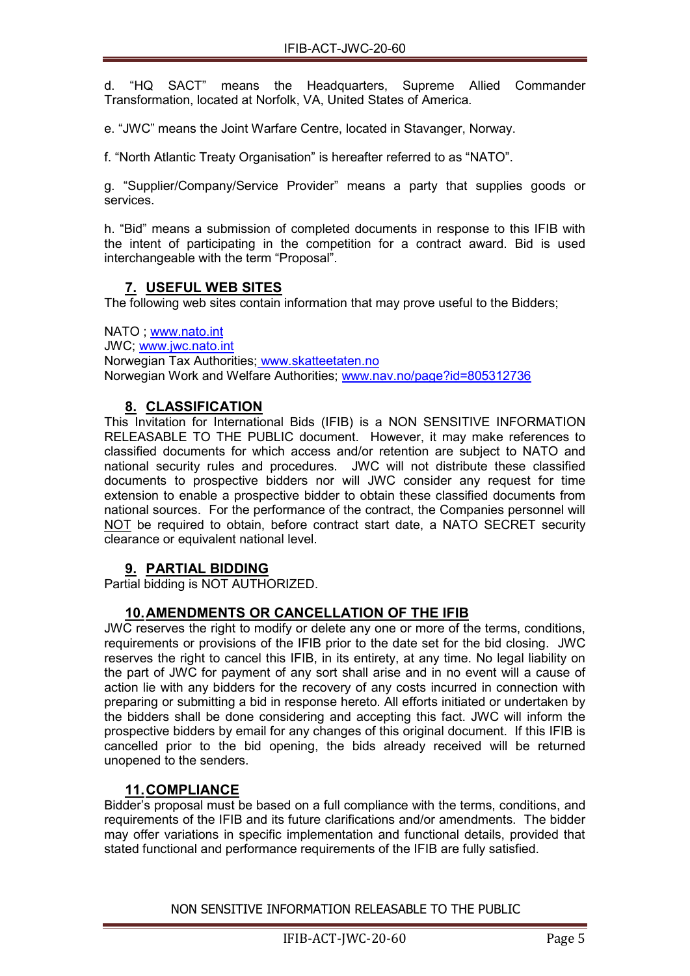d. "HQ SACT" means the Headquarters, Supreme Allied Commander Transformation, located at Norfolk, VA, United States of America.

e. "JWC" means the Joint Warfare Centre, located in Stavanger, Norway.

f. "North Atlantic Treaty Organisation" is hereafter referred to as "NATO".

g. "Supplier/Company/Service Provider" means a party that supplies goods or services.

h. "Bid" means a submission of completed documents in response to this IFIB with the intent of participating in the competition for a contract award. Bid is used interchangeable with the term "Proposal".

# **7. USEFUL WEB SITES**

<span id="page-7-0"></span>The following web sites contain information that may prove useful to the Bidders;

NATO ; [www.nato.int](http://www.nato.int/) JWC; [www.jwc.nato.int](http://www.jwc.nato.int/) Norwegian Tax Authorities; [www.skatteetaten.no](http://www.skatteetaten.no/) Norwegian Work and Welfare Authorities; [www.nav.no/page?id=805312736](http://www.nav.no/page?id=805312736)

#### **8. CLASSIFICATION**

This Invitation for International Bids (IFIB) is a NON SENSITIVE INFORMATION RELEASABLE TO THE PUBLIC document. However, it may make references to classified documents for which access and/or retention are subject to NATO and national security rules and procedures. JWC will not distribute these classified documents to prospective bidders nor will JWC consider any request for time extension to enable a prospective bidder to obtain these classified documents from national sources. For the performance of the contract, the Companies personnel will NOT be required to obtain, before contract start date, a NATO SECRET security clearance or equivalent national level.

#### **9. PARTIAL BIDDING**

<span id="page-7-1"></span>Partial bidding is NOT AUTHORIZED.

# **10.AMENDMENTS OR CANCELLATION OF THE IFIB**

<span id="page-7-2"></span>JWC reserves the right to modify or delete any one or more of the terms, conditions, requirements or provisions of the IFIB prior to the date set for the bid closing. JWC reserves the right to cancel this IFIB, in its entirety, at any time. No legal liability on the part of JWC for payment of any sort shall arise and in no event will a cause of action lie with any bidders for the recovery of any costs incurred in connection with preparing or submitting a bid in response hereto. All efforts initiated or undertaken by the bidders shall be done considering and accepting this fact. JWC will inform the prospective bidders by email for any changes of this original document. If this IFIB is cancelled prior to the bid opening, the bids already received will be returned unopened to the senders.

# **11.COMPLIANCE**

<span id="page-7-3"></span>Bidder's proposal must be based on a full compliance with the terms, conditions, and requirements of the IFIB and its future clarifications and/or amendments. The bidder may offer variations in specific implementation and functional details, provided that stated functional and performance requirements of the IFIB are fully satisfied.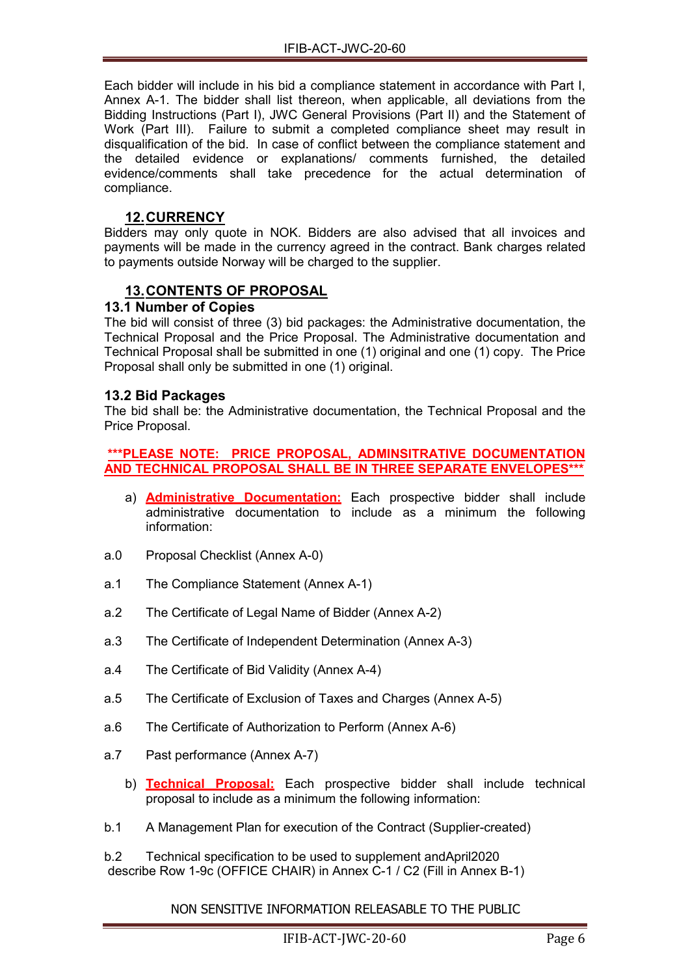Each bidder will include in his bid a compliance statement in accordance with Part I, Annex A-1. The bidder shall list thereon, when applicable, all deviations from the Bidding Instructions (Part I), JWC General Provisions (Part II) and the Statement of Work (Part III). Failure to submit a completed compliance sheet may result in disqualification of the bid. In case of conflict between the compliance statement and the detailed evidence or explanations/ comments furnished, the detailed evidence/comments shall take precedence for the actual determination of compliance.

# **12.CURRENCY**

<span id="page-8-0"></span>Bidders may only quote in NOK. Bidders are also advised that all invoices and payments will be made in the currency agreed in the contract. Bank charges related to payments outside Norway will be charged to the supplier.

#### **13.CONTENTS OF PROPOSAL**

#### <span id="page-8-2"></span><span id="page-8-1"></span>**13.1 Number of Copies**

The bid will consist of three (3) bid packages: the Administrative documentation, the Technical Proposal and the Price Proposal. The Administrative documentation and Technical Proposal shall be submitted in one (1) original and one (1) copy. The Price Proposal shall only be submitted in one (1) original.

#### <span id="page-8-3"></span>**13.2 Bid Packages**

The bid shall be: the Administrative documentation, the Technical Proposal and the Price Proposal.

#### **\*\*\*PLEASE NOTE: PRICE PROPOSAL, ADMINSITRATIVE DOCUMENTATION AND TECHNICAL PROPOSAL SHALL BE IN THREE SEPARATE ENVELOPES\*\*\***

- a) **Administrative Documentation:** Each prospective bidder shall include administrative documentation to include as a minimum the following information:
- a.0 Proposal Checklist (Annex A-0)
- a.1 The Compliance Statement (Annex A-1)
- a.2 The Certificate of Legal Name of Bidder (Annex A-2)
- a.3 The Certificate of Independent Determination (Annex A-3)
- a.4 The Certificate of Bid Validity (Annex A-4)
- a.5 The Certificate of Exclusion of Taxes and Charges (Annex A-5)
- a.6 The Certificate of Authorization to Perform (Annex A-6)
- a.7 Past performance (Annex A-7)
	- b) **Technical Proposal:** Each prospective bidder shall include technical proposal to include as a minimum the following information:
- b.1 A Management Plan for execution of the Contract (Supplier-created)

b.2 Technical specification to be used to supplement andApril2020 describe Row 1-9c (OFFICE CHAIR) in Annex C-1 / C2 (Fill in Annex B-1)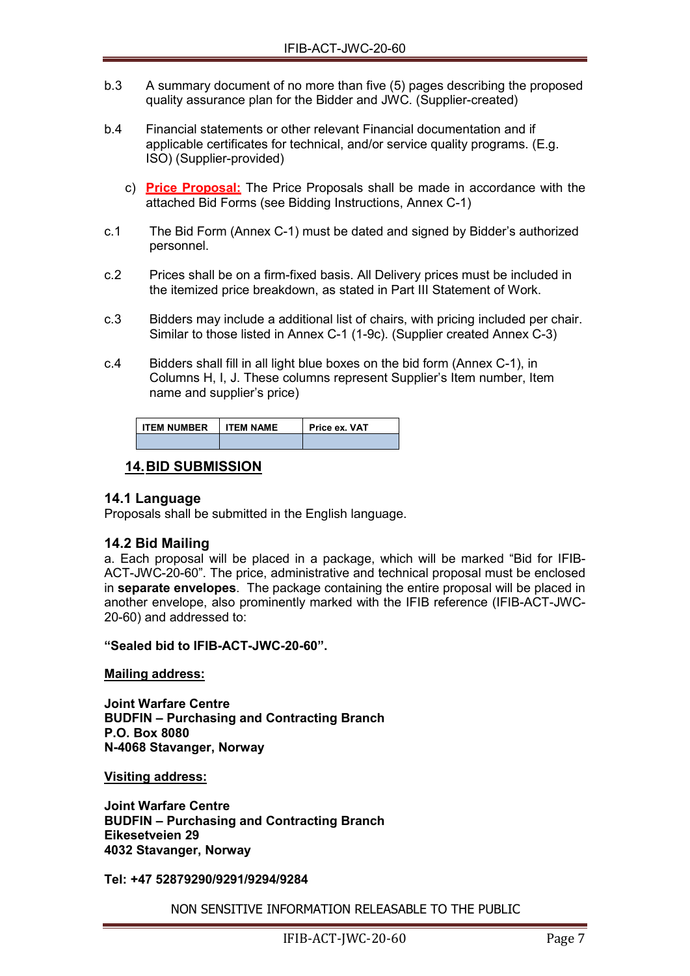- b.3 A summary document of no more than five (5) pages describing the proposed quality assurance plan for the Bidder and JWC. (Supplier-created)
- b.4 Financial statements or other relevant Financial documentation and if applicable certificates for technical, and/or service quality programs. (E.g. ISO) (Supplier-provided)
	- c) **Price Proposal:** The Price Proposals shall be made in accordance with the attached Bid Forms (see Bidding Instructions, Annex C-1)
- c.1 The Bid Form (Annex C-1) must be dated and signed by Bidder's authorized personnel.
- c.2 Prices shall be on a firm-fixed basis. All Delivery prices must be included in the itemized price breakdown, as stated in Part III Statement of Work.
- c.3 Bidders may include a additional list of chairs, with pricing included per chair. Similar to those listed in Annex C-1 (1-9c). (Supplier created Annex C-3)
- c.4 Bidders shall fill in all light blue boxes on the bid form (Annex C-1), in Columns H, I, J. These columns represent Supplier's Item number, Item name and supplier's price)

| <b>ITEM NUMBER</b> | <b>ITEM NAME</b> | Price ex. VAT |
|--------------------|------------------|---------------|
|                    |                  |               |

# <span id="page-9-0"></span>**14.BID SUBMISSION**

#### <span id="page-9-1"></span>**14.1 Language**

Proposals shall be submitted in the English language.

#### <span id="page-9-2"></span>**14.2 Bid Mailing**

a. Each proposal will be placed in a package, which will be marked "Bid for IFIB-ACT-JWC-20-60". The price, administrative and technical proposal must be enclosed in **separate envelopes**. The package containing the entire proposal will be placed in another envelope, also prominently marked with the IFIB reference (IFIB-ACT-JWC-20-60) and addressed to:

**"Sealed bid to IFIB-ACT-JWC-20-60".**

**Mailing address:**

**Joint Warfare Centre BUDFIN – Purchasing and Contracting Branch P.O. Box 8080 N-4068 Stavanger, Norway**

**Visiting address:**

**Joint Warfare Centre BUDFIN – Purchasing and Contracting Branch Eikesetveien 29 4032 Stavanger, Norway**

**Tel: +47 52879290/9291/9294/9284**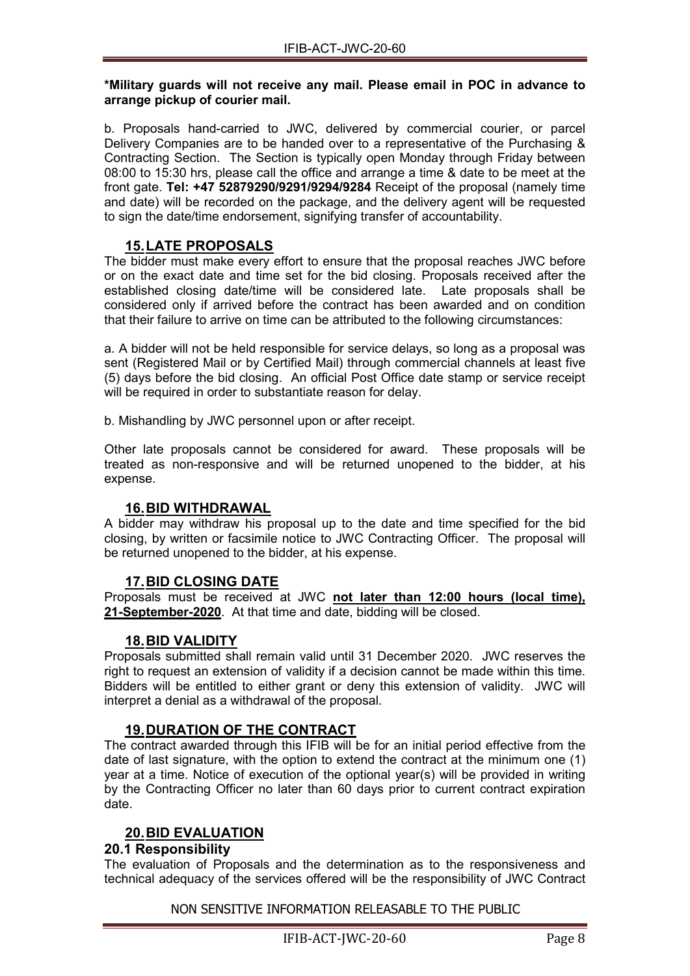#### **\*Military guards will not receive any mail. Please email in POC in advance to arrange pickup of courier mail.**

b. Proposals hand-carried to JWC, delivered by commercial courier, or parcel Delivery Companies are to be handed over to a representative of the Purchasing & Contracting Section. The Section is typically open Monday through Friday between 08:00 to 15:30 hrs, please call the office and arrange a time & date to be meet at the front gate. **Tel: +47 52879290/9291/9294/9284** Receipt of the proposal (namely time and date) will be recorded on the package, and the delivery agent will be requested to sign the date/time endorsement, signifying transfer of accountability.

# **15.LATE PROPOSALS**

<span id="page-10-0"></span>The bidder must make every effort to ensure that the proposal reaches JWC before or on the exact date and time set for the bid closing. Proposals received after the established closing date/time will be considered late. Late proposals shall be considered only if arrived before the contract has been awarded and on condition that their failure to arrive on time can be attributed to the following circumstances:

a. A bidder will not be held responsible for service delays, so long as a proposal was sent (Registered Mail or by Certified Mail) through commercial channels at least five (5) days before the bid closing. An official Post Office date stamp or service receipt will be required in order to substantiate reason for delay.

b. Mishandling by JWC personnel upon or after receipt.

Other late proposals cannot be considered for award. These proposals will be treated as non-responsive and will be returned unopened to the bidder, at his expense.

# **16.BID WITHDRAWAL**

<span id="page-10-1"></span>A bidder may withdraw his proposal up to the date and time specified for the bid closing, by written or facsimile notice to JWC Contracting Officer. The proposal will be returned unopened to the bidder, at his expense.

#### **17.BID CLOSING DATE**

<span id="page-10-2"></span>Proposals must be received at JWC **not later than 12:00 hours (local time), 21-September-2020**. At that time and date, bidding will be closed.

#### **18.BID VALIDITY**

<span id="page-10-3"></span>Proposals submitted shall remain valid until 31 December 2020. JWC reserves the right to request an extension of validity if a decision cannot be made within this time. Bidders will be entitled to either grant or deny this extension of validity. JWC will interpret a denial as a withdrawal of the proposal.

#### **19.DURATION OF THE CONTRACT**

<span id="page-10-4"></span>The contract awarded through this IFIB will be for an initial period effective from the date of last signature, with the option to extend the contract at the minimum one (1) year at a time. Notice of execution of the optional year(s) will be provided in writing by the Contracting Officer no later than 60 days prior to current contract expiration date.

# **20.BID EVALUATION**

# <span id="page-10-6"></span><span id="page-10-5"></span>**20.1 Responsibility**

The evaluation of Proposals and the determination as to the responsiveness and technical adequacy of the services offered will be the responsibility of JWC Contract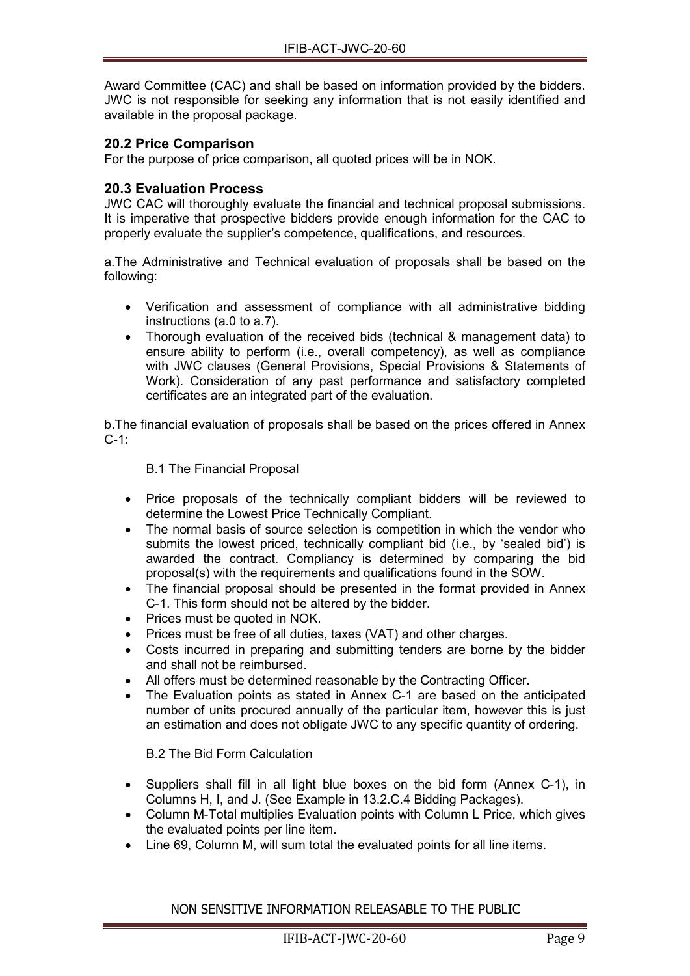Award Committee (CAC) and shall be based on information provided by the bidders. JWC is not responsible for seeking any information that is not easily identified and available in the proposal package.

#### <span id="page-11-0"></span>**20.2 Price Comparison**

For the purpose of price comparison, all quoted prices will be in NOK.

#### <span id="page-11-1"></span>**20.3 Evaluation Process**

JWC CAC will thoroughly evaluate the financial and technical proposal submissions. It is imperative that prospective bidders provide enough information for the CAC to properly evaluate the supplier's competence, qualifications, and resources.

a.The Administrative and Technical evaluation of proposals shall be based on the following:

- Verification and assessment of compliance with all administrative bidding instructions (a.0 to a.7).
- Thorough evaluation of the received bids (technical & management data) to ensure ability to perform (i.e., overall competency), as well as compliance with JWC clauses (General Provisions, Special Provisions & Statements of Work). Consideration of any past performance and satisfactory completed certificates are an integrated part of the evaluation.

b.The financial evaluation of proposals shall be based on the prices offered in Annex C-1:

B.1 The Financial Proposal

- Price proposals of the technically compliant bidders will be reviewed to determine the Lowest Price Technically Compliant.
- The normal basis of source selection is competition in which the vendor who submits the lowest priced, technically compliant bid (i.e., by 'sealed bid') is awarded the contract. Compliancy is determined by comparing the bid proposal(s) with the requirements and qualifications found in the SOW.
- The financial proposal should be presented in the format provided in Annex C-1. This form should not be altered by the bidder.
- Prices must be quoted in NOK.
- Prices must be free of all duties, taxes (VAT) and other charges.
- Costs incurred in preparing and submitting tenders are borne by the bidder and shall not be reimbursed.
- All offers must be determined reasonable by the Contracting Officer.
- The Evaluation points as stated in Annex C-1 are based on the anticipated number of units procured annually of the particular item, however this is just an estimation and does not obligate JWC to any specific quantity of ordering.

B.2 The Bid Form Calculation

- Suppliers shall fill in all light blue boxes on the bid form (Annex C-1), in Columns H, I, and J. (See Example in 13.2.C.4 Bidding Packages).
- Column M-Total multiplies Evaluation points with Column L Price, which gives the evaluated points per line item.
- Line 69, Column M, will sum total the evaluated points for all line items.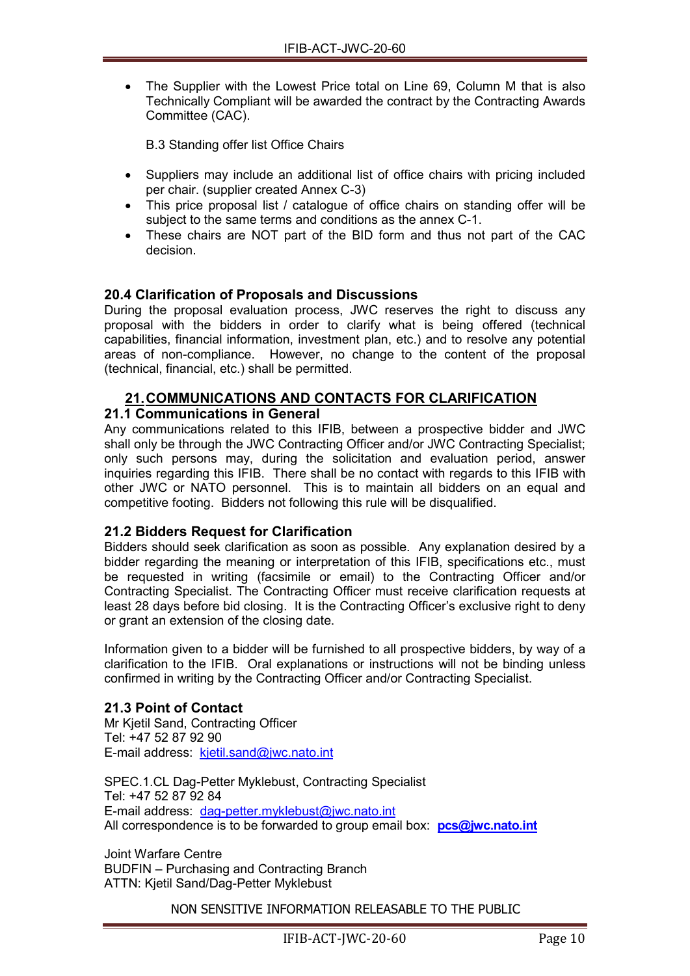• The Supplier with the Lowest Price total on Line 69, Column M that is also Technically Compliant will be awarded the contract by the Contracting Awards Committee (CAC).

B.3 Standing offer list Office Chairs

- Suppliers may include an additional list of office chairs with pricing included per chair. (supplier created Annex C-3)
- This price proposal list / catalogue of office chairs on standing offer will be subject to the same terms and conditions as the annex C-1.
- These chairs are NOT part of the BID form and thus not part of the CAC decision.

#### <span id="page-12-0"></span>**20.4 Clarification of Proposals and Discussions**

During the proposal evaluation process, JWC reserves the right to discuss any proposal with the bidders in order to clarify what is being offered (technical capabilities, financial information, investment plan, etc.) and to resolve any potential areas of non-compliance. However, no change to the content of the proposal (technical, financial, etc.) shall be permitted.

#### **21.COMMUNICATIONS AND CONTACTS FOR CLARIFICATION**

#### <span id="page-12-2"></span><span id="page-12-1"></span>**21.1 Communications in General**

Any communications related to this IFIB, between a prospective bidder and JWC shall only be through the JWC Contracting Officer and/or JWC Contracting Specialist; only such persons may, during the solicitation and evaluation period, answer inquiries regarding this IFIB. There shall be no contact with regards to this IFIB with other JWC or NATO personnel. This is to maintain all bidders on an equal and competitive footing. Bidders not following this rule will be disqualified.

#### <span id="page-12-3"></span>**21.2 Bidders Request for Clarification**

Bidders should seek clarification as soon as possible. Any explanation desired by a bidder regarding the meaning or interpretation of this IFIB, specifications etc., must be requested in writing (facsimile or email) to the Contracting Officer and/or Contracting Specialist. The Contracting Officer must receive clarification requests at least 28 days before bid closing. It is the Contracting Officer's exclusive right to deny or grant an extension of the closing date.

Information given to a bidder will be furnished to all prospective bidders, by way of a clarification to the IFIB. Oral explanations or instructions will not be binding unless confirmed in writing by the Contracting Officer and/or Contracting Specialist.

#### <span id="page-12-4"></span>**21.3 Point of Contact**

Mr Kjetil Sand, Contracting Officer Tel: +47 52 87 92 90 E-mail address: [kjetil.sand@jwc.nato.int](mailto:kjetil.sand@jwc.nato.int)

SPEC.1.CL Dag-Petter Myklebust, Contracting Specialist Tel: +47 52 87 92 84 E-mail address: [dag-petter.myklebust@jwc.nato.int](mailto:dag-petter.myklebust@jwc.nato.int) All correspondence is to be forwarded to group email box: **[pcs@jwc.nato.int](mailto:pcs@jwc.nato.int)**

Joint Warfare Centre BUDFIN – Purchasing and Contracting Branch ATTN: Kjetil Sand/Dag-Petter Myklebust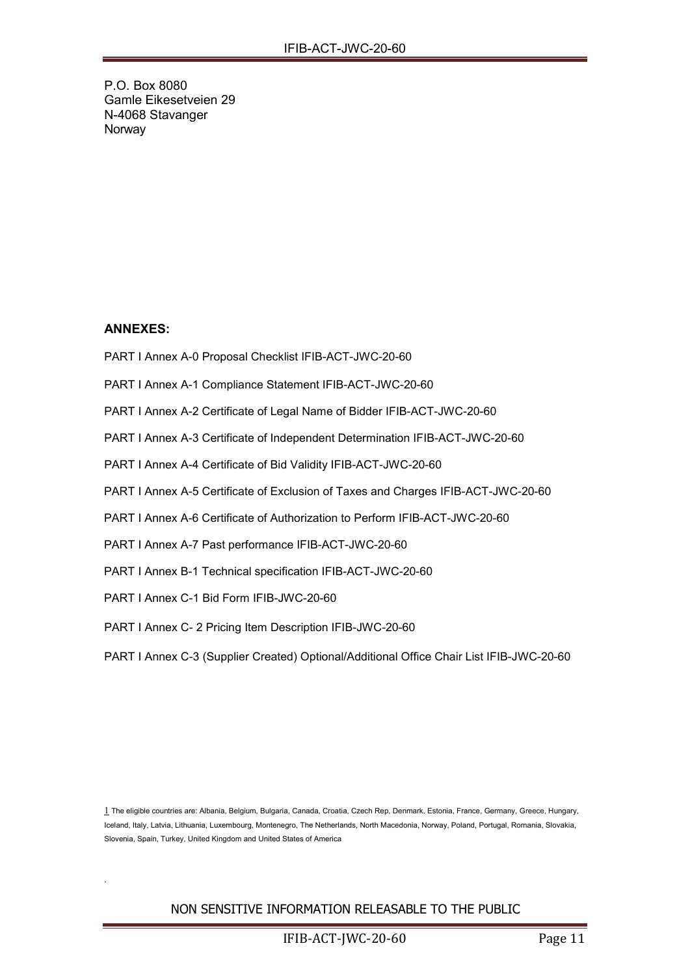P.O. Box 8080 Gamle Eikesetveien 29 N-4068 Stavanger Norway

#### **ANNEXES:**

.

- PART I Annex A-0 Proposal Checklist IFIB-ACT-JWC-20-60
- PART I Annex A-1 Compliance Statement IFIB-ACT-JWC-20-60
- PART I Annex A-2 Certificate of Legal Name of Bidder IFIB-ACT-JWC-20-60
- PART I Annex A-3 Certificate of Independent Determination IFIB-ACT-JWC-20-60
- PART I Annex A-4 Certificate of Bid Validity IFIB-ACT-JWC-20-60
- PART I Annex A-5 Certificate of Exclusion of Taxes and Charges IFIB-ACT-JWC-20-60
- PART I Annex A-6 Certificate of Authorization to Perform IFIB-ACT-JWC-20-60
- PART I Annex A-7 Past performance IFIB-ACT-JWC-20-60
- PART I Annex B-1 Technical specification IFIB-ACT-JWC-20-60
- PART I Annex C-1 Bid Form IFIB-JWC-20-60
- PART I Annex C- 2 Pricing Item Description IFIB-JWC-20-60
- PART I Annex C-3 (Supplier Created) Optional/Additional Office Chair List IFIB-JWC-20-60

1 The eligible countries are: Albania, Belgium, Bulgaria, Canada, Croatia, Czech Rep, Denmark, Estonia, France, Germany, Greece, Hungary, Iceland, Italy, Latvia, Lithuania, Luxembourg, Montenegro, The Netherlands, North Macedonia, Norway, Poland, Portugal, Romania, Slovakia, Slovenia, Spain, Turkey, United Kingdom and United States of America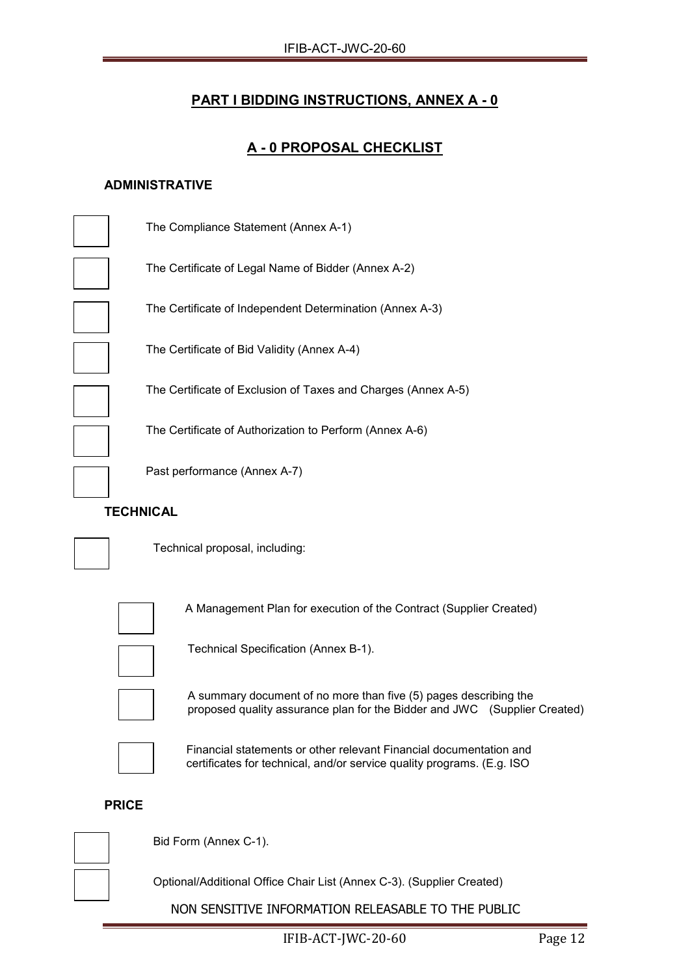# **A - 0 PROPOSAL CHECKLIST**

#### **ADMINISTRATIVE**

| The Compliance Statement (Annex A-1)                          |
|---------------------------------------------------------------|
| The Certificate of Legal Name of Bidder (Annex A-2)           |
| The Certificate of Independent Determination (Annex A-3)      |
| The Certificate of Bid Validity (Annex A-4)                   |
| The Certificate of Exclusion of Taxes and Charges (Annex A-5) |
| The Certificate of Authorization to Perform (Annex A-6)       |
| Past performance (Annex A-7)                                  |

#### **TECHNICAL**



Technical proposal, including:



A Management Plan for execution of the Contract (Supplier Created)



Technical Specification (Annex B-1).



A summary document of no more than five (5) pages describing the proposed quality assurance plan for the Bidder and JWC (Supplier Created)



Financial statements or other relevant Financial documentation and certificates for technical, and/or service quality programs. (E.g. ISO

#### **PRICE**



Bid Form (Annex C-1).

Optional/Additional Office Chair List (Annex C-3). (Supplier Created)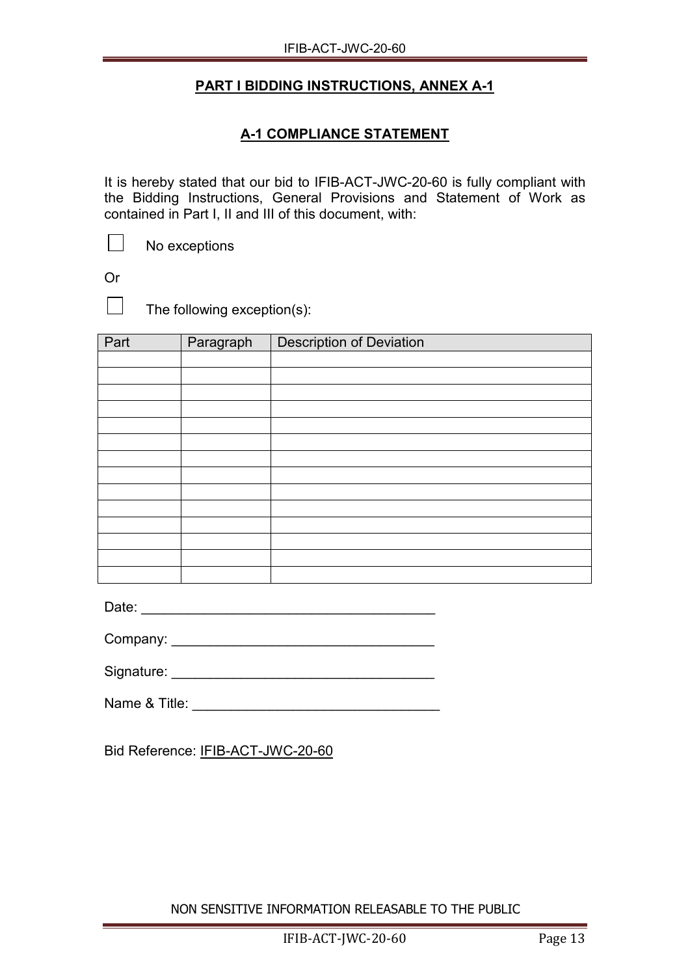# **A-1 COMPLIANCE STATEMENT**

It is hereby stated that our bid to IFIB-ACT-JWC-20-60 is fully compliant with the Bidding Instructions, General Provisions and Statement of Work as contained in Part I, II and III of this document, with:

No exceptions

Or

 $\Box$ 

The following exception(s):

| Part | Paragraph | <b>Description of Deviation</b> |
|------|-----------|---------------------------------|
|      |           |                                 |
|      |           |                                 |
|      |           |                                 |
|      |           |                                 |
|      |           |                                 |
|      |           |                                 |
|      |           |                                 |
|      |           |                                 |
|      |           |                                 |
|      |           |                                 |
|      |           |                                 |
|      |           |                                 |
|      |           |                                 |
|      |           |                                 |

| Date: |  |
|-------|--|
|       |  |

Company: \_\_\_\_\_\_\_\_\_\_\_\_\_\_\_\_\_\_\_\_\_\_\_\_\_\_\_\_\_\_\_\_\_\_

Signature: \_\_\_\_\_\_\_\_\_\_\_\_\_\_\_\_\_\_\_\_\_\_\_\_\_\_\_\_\_\_\_\_\_\_

| Name & Title: |  |
|---------------|--|
|               |  |

Bid Reference: IFIB-ACT-JWC-20-60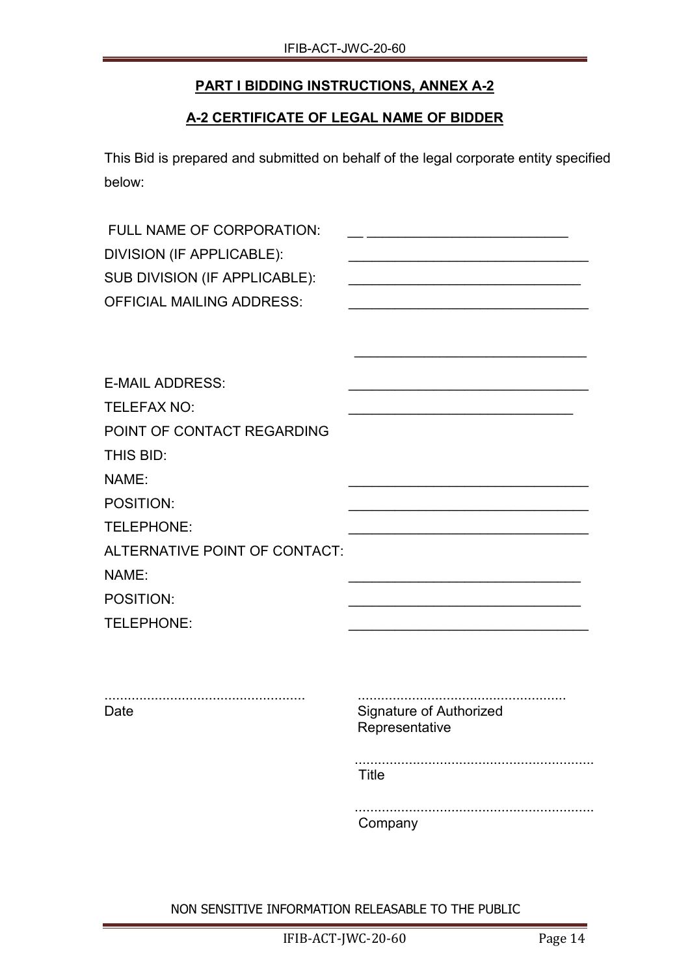# **A-2 CERTIFICATE OF LEGAL NAME OF BIDDER**

This Bid is prepared and submitted on behalf of the legal corporate entity specified below:

| FULL NAME OF CORPORATION:<br>DIVISION (IF APPLICABLE):<br>SUB DIVISION (IF APPLICABLE):<br><b>OFFICIAL MAILING ADDRESS:</b> |                                           |
|-----------------------------------------------------------------------------------------------------------------------------|-------------------------------------------|
|                                                                                                                             |                                           |
| <b>E-MAIL ADDRESS:</b>                                                                                                      |                                           |
| <b>TELEFAX NO:</b>                                                                                                          |                                           |
| POINT OF CONTACT REGARDING                                                                                                  |                                           |
| THIS BID:                                                                                                                   |                                           |
| NAME:                                                                                                                       |                                           |
| POSITION:                                                                                                                   |                                           |
| TELEPHONE:                                                                                                                  |                                           |
| ALTERNATIVE POINT OF CONTACT:                                                                                               |                                           |
| NAME:                                                                                                                       |                                           |
| POSITION:                                                                                                                   |                                           |
| TELEPHONE:                                                                                                                  |                                           |
|                                                                                                                             |                                           |
| Date                                                                                                                        | Signature of Authorized<br>Representative |
|                                                                                                                             | <b>Title</b>                              |
|                                                                                                                             | Company                                   |
|                                                                                                                             |                                           |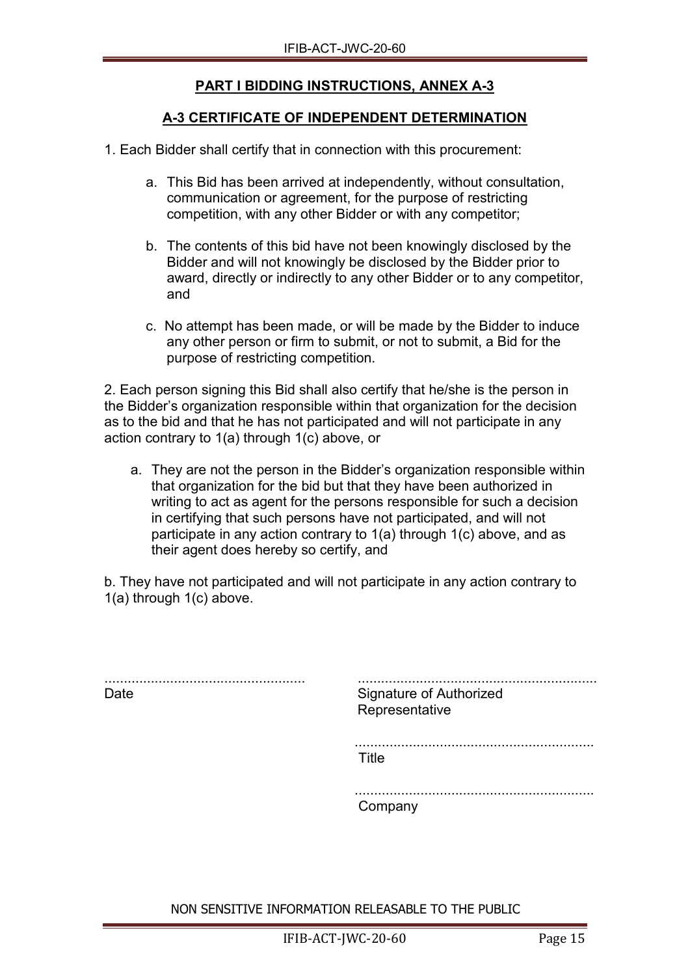# **A-3 CERTIFICATE OF INDEPENDENT DETERMINATION**

- 1. Each Bidder shall certify that in connection with this procurement:
	- a. This Bid has been arrived at independently, without consultation, communication or agreement, for the purpose of restricting competition, with any other Bidder or with any competitor;
	- b. The contents of this bid have not been knowingly disclosed by the Bidder and will not knowingly be disclosed by the Bidder prior to award, directly or indirectly to any other Bidder or to any competitor, and
	- c. No attempt has been made, or will be made by the Bidder to induce any other person or firm to submit, or not to submit, a Bid for the purpose of restricting competition.

2. Each person signing this Bid shall also certify that he/she is the person in the Bidder's organization responsible within that organization for the decision as to the bid and that he has not participated and will not participate in any action contrary to 1(a) through 1(c) above, or

a. They are not the person in the Bidder's organization responsible within that organization for the bid but that they have been authorized in writing to act as agent for the persons responsible for such a decision in certifying that such persons have not participated, and will not participate in any action contrary to 1(a) through 1(c) above, and as their agent does hereby so certify, and

b. They have not participated and will not participate in any action contrary to 1(a) through 1(c) above.

.................................................... Date

.............................................................. Signature of Authorized Representative

.............................................................. Title

..............................................................

Company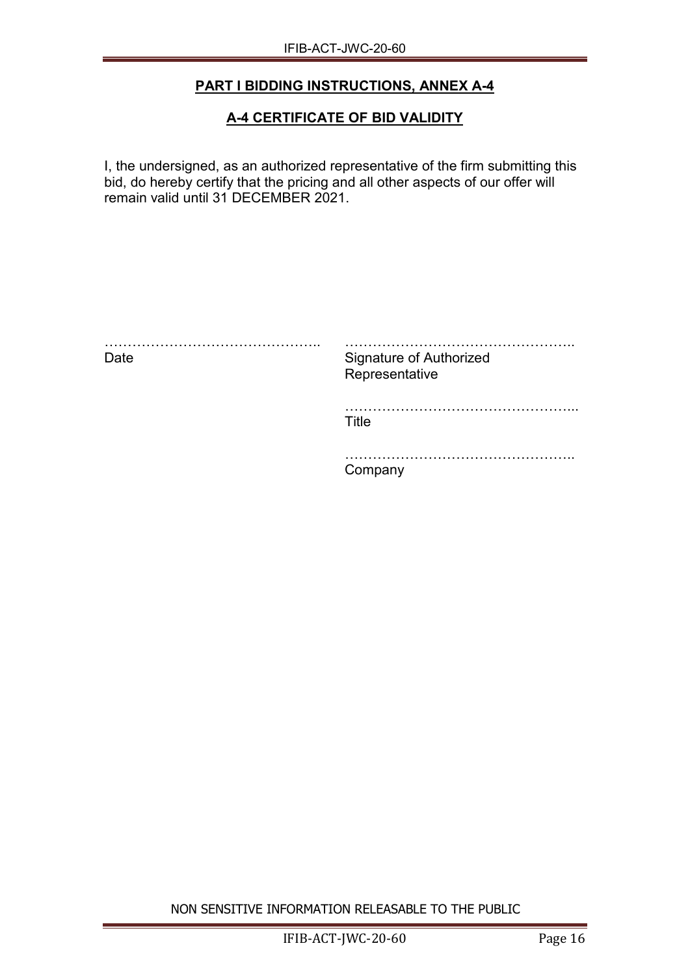# **A-4 CERTIFICATE OF BID VALIDITY**

I, the undersigned, as an authorized representative of the firm submitting this bid, do hereby certify that the pricing and all other aspects of our offer will remain valid until 31 DECEMBER 2021.

| Date | Signature of Authorized<br>Representative |
|------|-------------------------------------------|
|      | Title                                     |
|      |                                           |

**Company**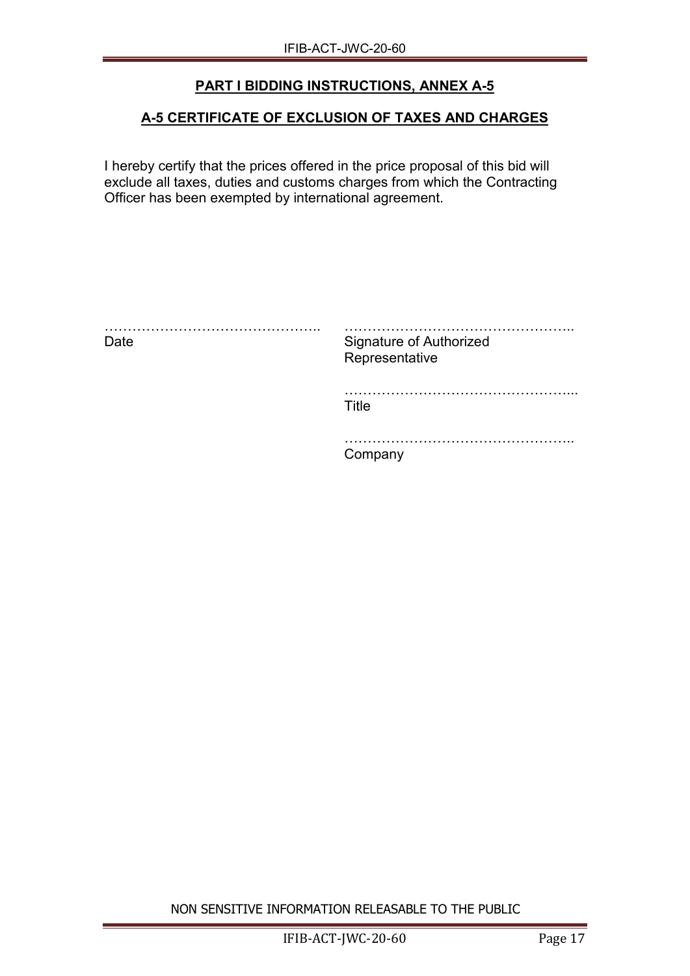# **A-5 CERTIFICATE OF EXCLUSION OF TAXES AND CHARGES**

I hereby certify that the prices offered in the price proposal of this bid will exclude all taxes, duties and customs charges from which the Contracting Officer has been exempted by international agreement.

| Date | Signature of Authorized<br>Representative |
|------|-------------------------------------------|
|      | Title                                     |
|      | Company                                   |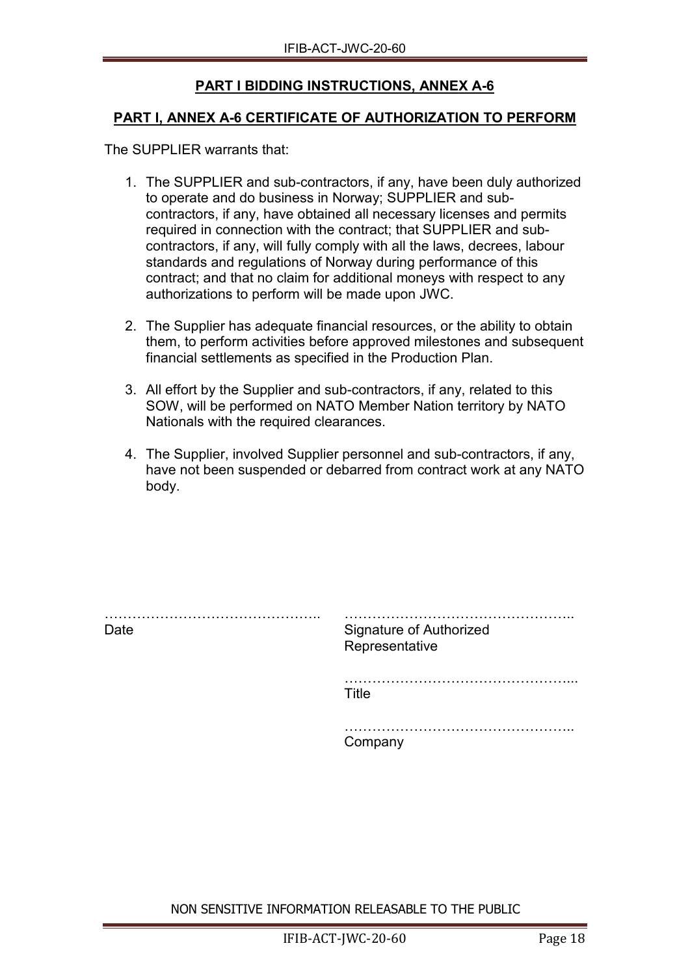# **PART I, ANNEX A-6 CERTIFICATE OF AUTHORIZATION TO PERFORM**

The SUPPLIFR warrants that:

- 1. The SUPPLIER and sub-contractors, if any, have been duly authorized to operate and do business in Norway; SUPPLIER and subcontractors, if any, have obtained all necessary licenses and permits required in connection with the contract; that SUPPLIER and subcontractors, if any, will fully comply with all the laws, decrees, labour standards and regulations of Norway during performance of this contract; and that no claim for additional moneys with respect to any authorizations to perform will be made upon JWC.
- 2. The Supplier has adequate financial resources, or the ability to obtain them, to perform activities before approved milestones and subsequent financial settlements as specified in the Production Plan.
- 3. All effort by the Supplier and sub-contractors, if any, related to this SOW, will be performed on NATO Member Nation territory by NATO Nationals with the required clearances.
- 4. The Supplier, involved Supplier personnel and sub-contractors, if any, have not been suspended or debarred from contract work at any NATO body.

| Date | Signature of Authorized<br>Representative |
|------|-------------------------------------------|
|      | Title                                     |
|      | Company                                   |
|      |                                           |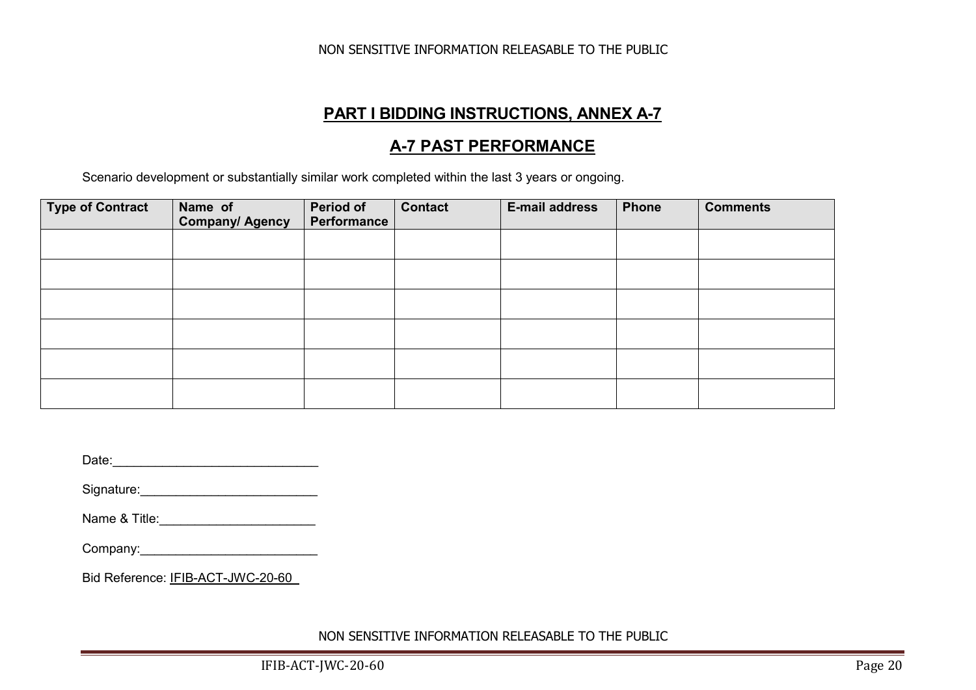NON SENSITIVE INFORMATION RELEASABLE TO THE PUBLIC

# **PART I BIDDING INSTRUCTIONS, ANNEX A-7**

# **A-7 PAST PERFORMANCE**

Scenario development or substantially similar work completed within the last 3 years or ongoing.

| <b>Type of Contract</b> | Name of<br><b>Company/ Agency</b> | Period of<br>Performance | Contact | E-mail address | <b>Phone</b> | <b>Comments</b> |
|-------------------------|-----------------------------------|--------------------------|---------|----------------|--------------|-----------------|
|                         |                                   |                          |         |                |              |                 |
|                         |                                   |                          |         |                |              |                 |
|                         |                                   |                          |         |                |              |                 |
|                         |                                   |                          |         |                |              |                 |
|                         |                                   |                          |         |                |              |                 |
|                         |                                   |                          |         |                |              |                 |

|--|

Signature:\_\_\_\_\_\_\_\_\_\_\_\_\_\_\_\_\_\_\_\_\_\_\_\_\_

| Bid Reference: IFIB-ACT-JWC-20-60 |
|-----------------------------------|
|                                   |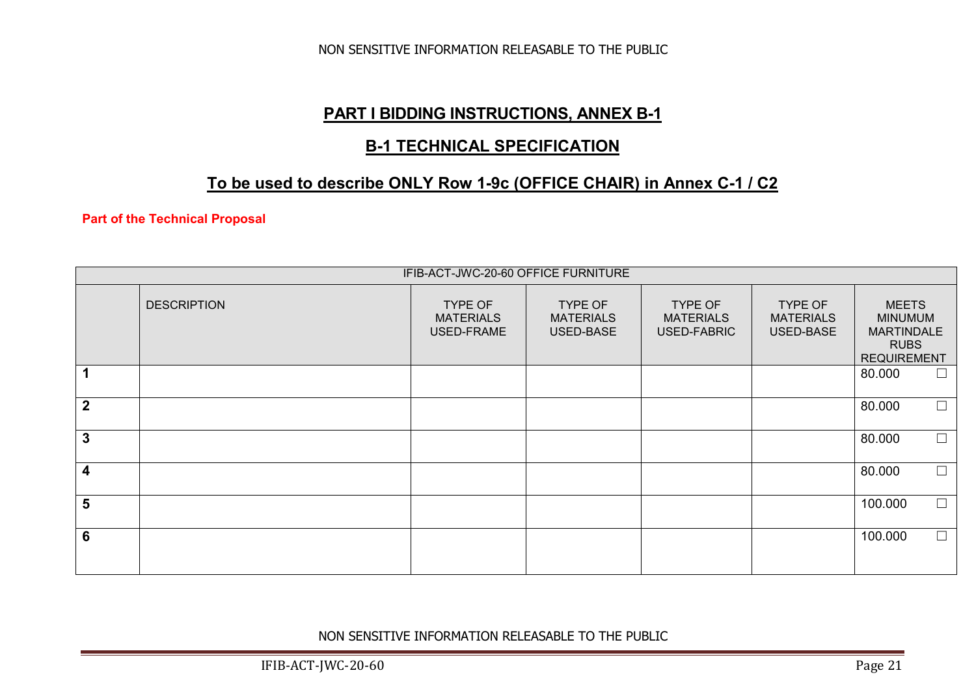NON SENSITIVE INFORMATION RELEASABLE TO THE PUBLIC

# **PART I BIDDING INSTRUCTIONS, ANNEX B-1**

# **B-1 TECHNICAL SPECIFICATION**

# **To be used to describe ONLY Row 1-9c (OFFICE CHAIR) in Annex C-1 / C2**

#### **Part of the Technical Proposal**

|              | IFIB-ACT-JWC-20-60 OFFICE FURNITURE |                                           |                                                 |                                                          |                                          |                                                                                          |        |  |
|--------------|-------------------------------------|-------------------------------------------|-------------------------------------------------|----------------------------------------------------------|------------------------------------------|------------------------------------------------------------------------------------------|--------|--|
|              | <b>DESCRIPTION</b>                  | TYPE OF<br><b>MATERIALS</b><br>USED-FRAME | <b>TYPE OF</b><br><b>MATERIALS</b><br>USED-BASE | <b>TYPE OF</b><br><b>MATERIALS</b><br><b>USED-FABRIC</b> | TYPE OF<br><b>MATERIALS</b><br>USED-BASE | <b>MEETS</b><br><b>MINUMUM</b><br><b>MARTINDALE</b><br><b>RUBS</b><br><b>REQUIREMENT</b> |        |  |
|              |                                     |                                           |                                                 |                                                          |                                          | 80.000                                                                                   |        |  |
| $\mathbf{2}$ |                                     |                                           |                                                 |                                                          |                                          | 80.000                                                                                   | $\Box$ |  |
| 3            |                                     |                                           |                                                 |                                                          |                                          | 80.000                                                                                   | $\Box$ |  |
| 4            |                                     |                                           |                                                 |                                                          |                                          | 80.000                                                                                   | $\Box$ |  |
| 5            |                                     |                                           |                                                 |                                                          |                                          | 100.000                                                                                  | $\Box$ |  |
| 6            |                                     |                                           |                                                 |                                                          |                                          | 100.000                                                                                  |        |  |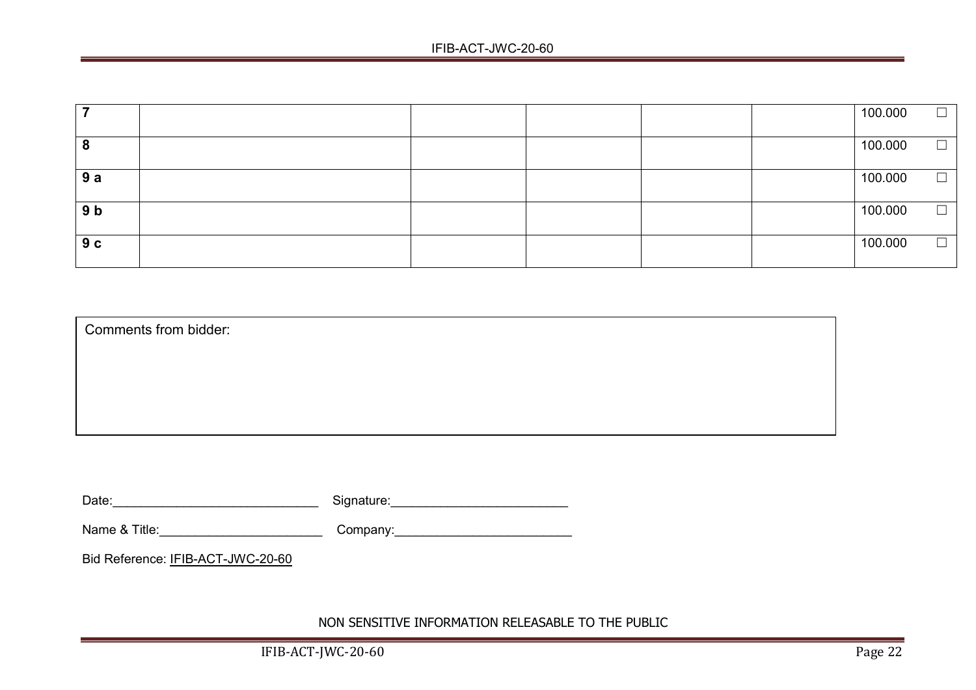#### IFIB-ACT-JWC-20-60

|                |  |  | 100.000 | $\Box$ |
|----------------|--|--|---------|--------|
| ю.             |  |  | 100.000 | $\Box$ |
| 9a             |  |  | 100.000 | $\Box$ |
| 9 <sub>b</sub> |  |  | 100.000 | $\Box$ |
| 9 <sub>c</sub> |  |  | 100.000 | $\Box$ |

| Comments from bidder: |  |  |
|-----------------------|--|--|
|                       |  |  |
|                       |  |  |
|                       |  |  |

| Date: | Signature: |
|-------|------------|
|       |            |

Name & Title:\_\_\_\_\_\_\_\_\_\_\_\_\_\_\_\_\_\_\_\_\_\_\_ Company:\_\_\_\_\_\_\_\_\_\_\_\_\_\_\_\_\_\_\_\_\_\_\_\_\_

Bid Reference: IFIB-ACT-JWC-20-60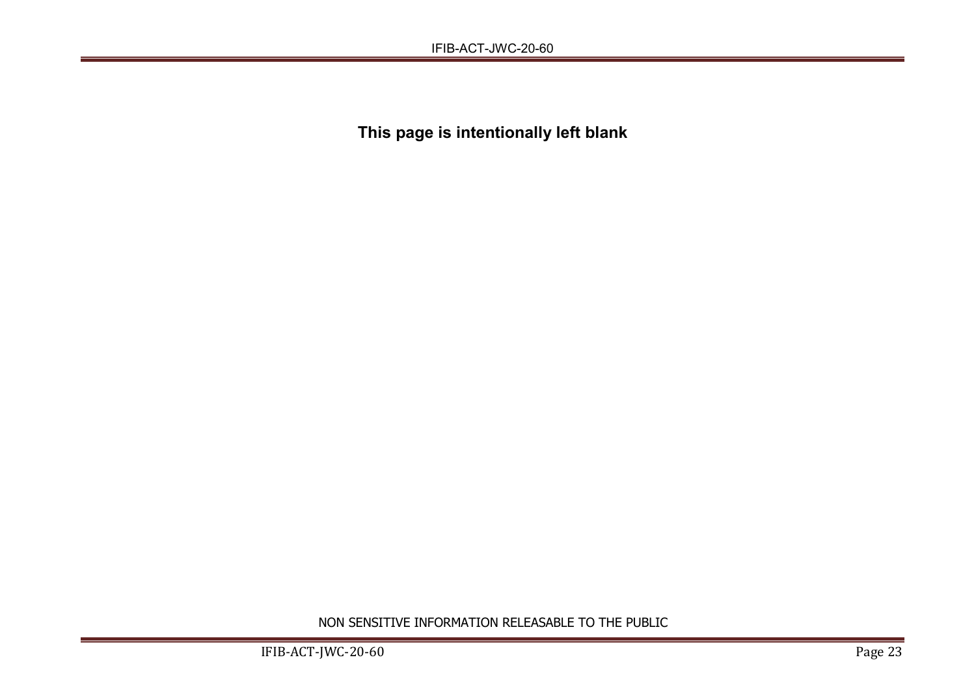**This page is intentionally left blank**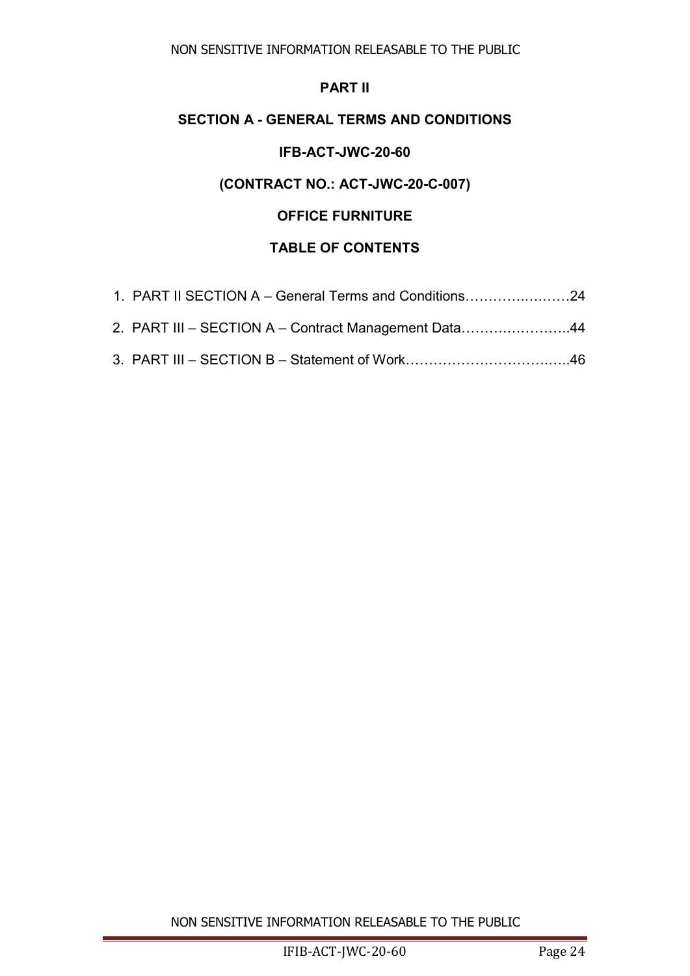NON SENSITIVE INFORMATION RELEASABLE TO THE PUBLIC

# **PART II**

# **SECTION A - GENERAL TERMS AND CONDITIONS**

# **IFB-ACT-JWC-20-60**

# **(CONTRACT NO.: ACT-JWC-20-C-007)**

# **OFFICE FURNITURE**

# **TABLE OF CONTENTS**

| 1. PART II SECTION A – General Terms and Conditions24 |  |
|-------------------------------------------------------|--|
| 2. PART III - SECTION A - Contract Management Data44  |  |
|                                                       |  |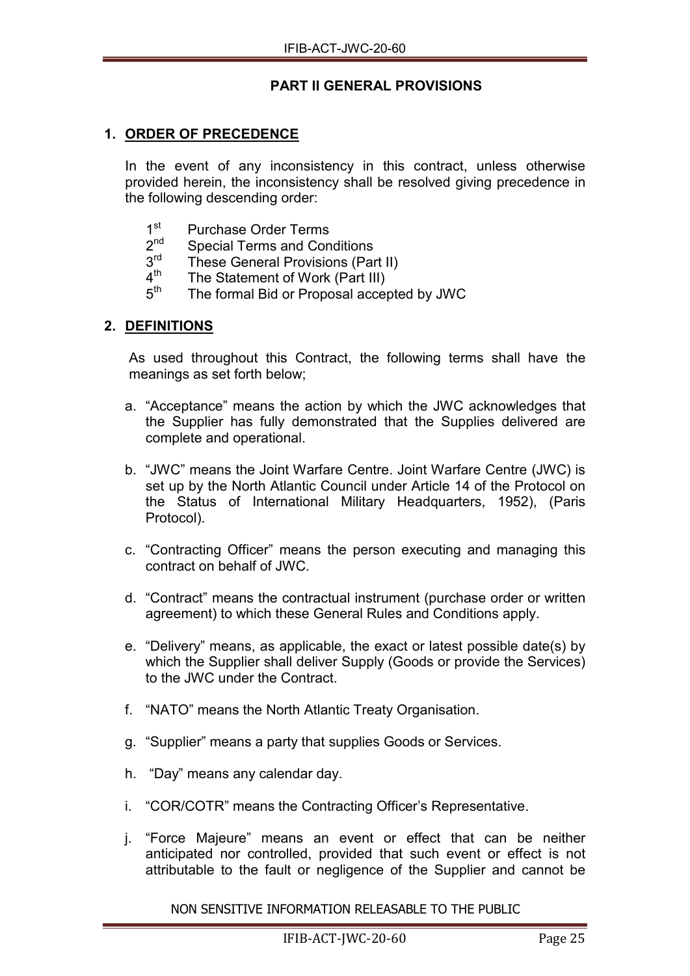# **PART II GENERAL PROVISIONS**

# **1. ORDER OF PRECEDENCE**

In the event of any inconsistency in this contract, unless otherwise provided herein, the inconsistency shall be resolved giving precedence in the following descending order:

- 1st Purchase Order Terms<br>2<sup>nd</sup> Special Terms and Con
- $2<sup>nd</sup>$  Special Terms and Conditions<br> $3<sup>rd</sup>$  These General Provisions (Bo)
- $3^{\text{rd}}$  These General Provisions (Part II)<br> $4^{\text{th}}$  The Statement of Work (Part III)
- $4<sup>th</sup>$  The Statement of Work (Part III)<br> $5<sup>th</sup>$  The formal Bid or Proposal accel
- The formal Bid or Proposal accepted by JWC

# **2. DEFINITIONS**

As used throughout this Contract, the following terms shall have the meanings as set forth below;

- a. "Acceptance" means the action by which the JWC acknowledges that the Supplier has fully demonstrated that the Supplies delivered are complete and operational.
- b. "JWC" means the Joint Warfare Centre. Joint Warfare Centre (JWC) is set up by the North Atlantic Council under Article 14 of the Protocol on the Status of International Military Headquarters, 1952), (Paris Protocol).
- c. "Contracting Officer" means the person executing and managing this contract on behalf of JWC.
- d. "Contract" means the contractual instrument (purchase order or written agreement) to which these General Rules and Conditions apply.
- e. "Delivery" means, as applicable, the exact or latest possible date(s) by which the Supplier shall deliver Supply (Goods or provide the Services) to the JWC under the Contract.
- f. "NATO" means the North Atlantic Treaty Organisation.
- g. "Supplier" means a party that supplies Goods or Services.
- h. "Day" means any calendar day.
- i. "COR/COTR" means the Contracting Officer's Representative.
- j. "Force Majeure" means an event or effect that can be neither anticipated nor controlled, provided that such event or effect is not attributable to the fault or negligence of the Supplier and cannot be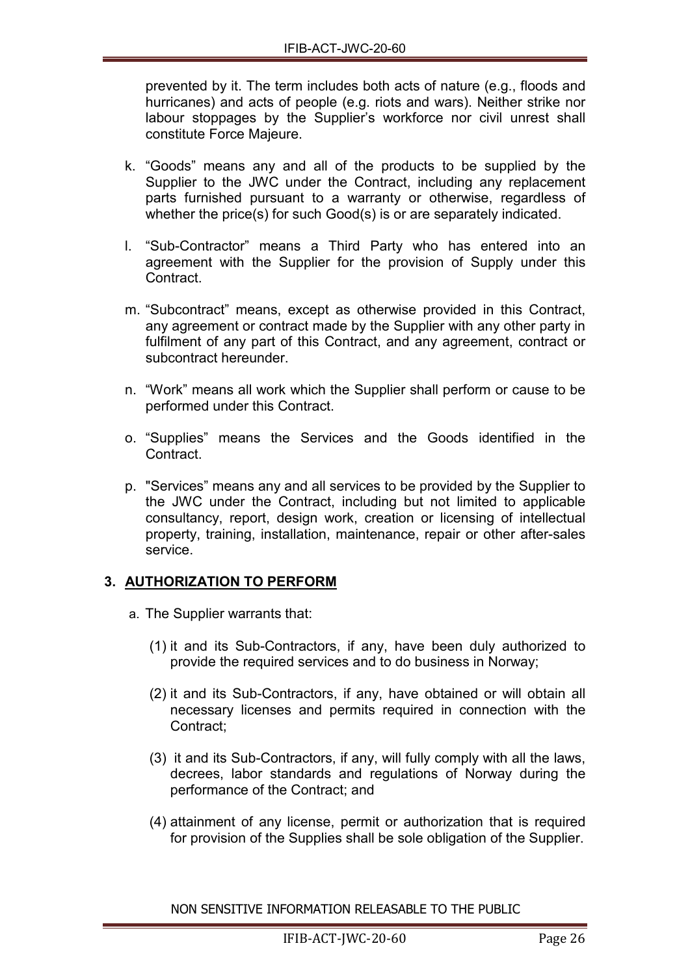prevented by it. The term includes both acts of nature (e.g., floods and hurricanes) and acts of people (e.g. riots and wars). Neither strike nor labour stoppages by the Supplier's workforce nor civil unrest shall constitute Force Majeure.

- k. "Goods" means any and all of the products to be supplied by the Supplier to the JWC under the Contract, including any replacement parts furnished pursuant to a warranty or otherwise, regardless of whether the price(s) for such Good(s) is or are separately indicated.
- l. "Sub-Contractor" means a Third Party who has entered into an agreement with the Supplier for the provision of Supply under this **Contract.**
- m. "Subcontract" means, except as otherwise provided in this Contract, any agreement or contract made by the Supplier with any other party in fulfilment of any part of this Contract, and any agreement, contract or subcontract hereunder.
- n. "Work" means all work which the Supplier shall perform or cause to be performed under this Contract.
- o. "Supplies" means the Services and the Goods identified in the Contract.
- p. "Services" means any and all services to be provided by the Supplier to the JWC under the Contract, including but not limited to applicable consultancy, report, design work, creation or licensing of intellectual property, training, installation, maintenance, repair or other after-sales service.

# **3. AUTHORIZATION TO PERFORM**

- a. The Supplier warrants that:
	- (1) it and its Sub-Contractors, if any, have been duly authorized to provide the required services and to do business in Norway;
	- (2) it and its Sub-Contractors, if any, have obtained or will obtain all necessary licenses and permits required in connection with the Contract;
	- (3) it and its Sub-Contractors, if any, will fully comply with all the laws, decrees, labor standards and regulations of Norway during the performance of the Contract; and
	- (4) attainment of any license, permit or authorization that is required for provision of the Supplies shall be sole obligation of the Supplier.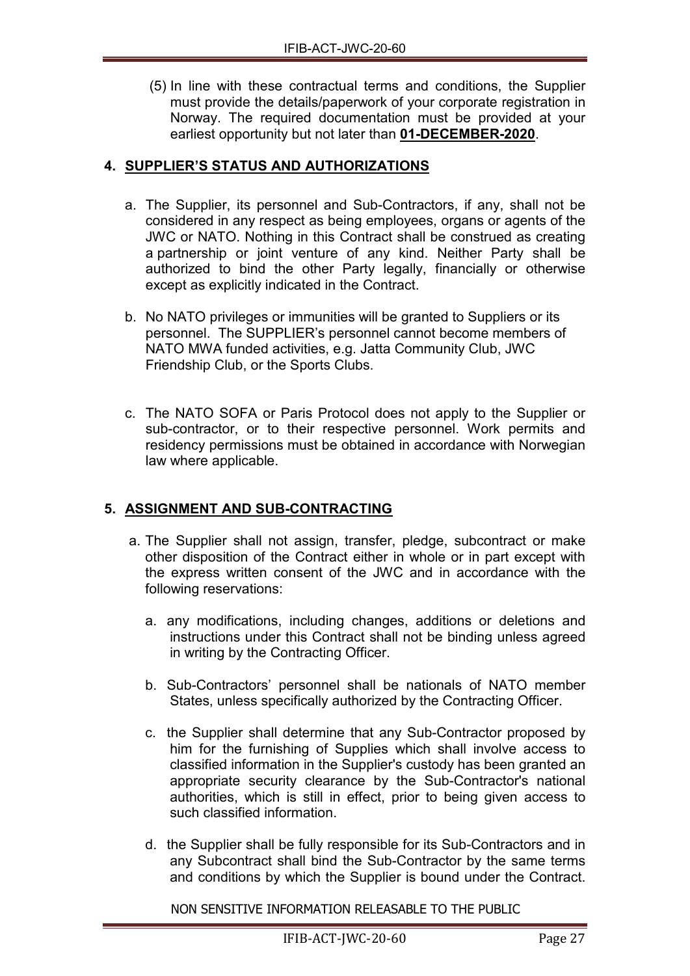(5) In line with these contractual terms and conditions, the Supplier must provide the details/paperwork of your corporate registration in Norway. The required documentation must be provided at your earliest opportunity but not later than **01-DECEMBER-2020**.

# **4. SUPPLIER'S STATUS AND AUTHORIZATIONS**

- a. The Supplier, its personnel and Sub-Contractors, if any, shall not be considered in any respect as being employees, organs or agents of the JWC or NATO. Nothing in this Contract shall be construed as creating a partnership or joint venture of any kind. Neither Party shall be authorized to bind the other Party legally, financially or otherwise except as explicitly indicated in the Contract.
- b. No NATO privileges or immunities will be granted to Suppliers or its personnel. The SUPPLIER's personnel cannot become members of NATO MWA funded activities, e.g. Jatta Community Club, JWC Friendship Club, or the Sports Clubs.
- c. The NATO SOFA or Paris Protocol does not apply to the Supplier or sub-contractor, or to their respective personnel. Work permits and residency permissions must be obtained in accordance with Norwegian law where applicable.

# **5. ASSIGNMENT AND SUB-CONTRACTING**

- a. The Supplier shall not assign, transfer, pledge, subcontract or make other disposition of the Contract either in whole or in part except with the express written consent of the JWC and in accordance with the following reservations:
	- a. any modifications, including changes, additions or deletions and instructions under this Contract shall not be binding unless agreed in writing by the Contracting Officer.
	- b. Sub-Contractors' personnel shall be nationals of NATO member States, unless specifically authorized by the Contracting Officer.
	- c. the Supplier shall determine that any Sub-Contractor proposed by him for the furnishing of Supplies which shall involve access to classified information in the Supplier's custody has been granted an appropriate security clearance by the Sub-Contractor's national authorities, which is still in effect, prior to being given access to such classified information.
	- d. the Supplier shall be fully responsible for its Sub-Contractors and in any Subcontract shall bind the Sub-Contractor by the same terms and conditions by which the Supplier is bound under the Contract.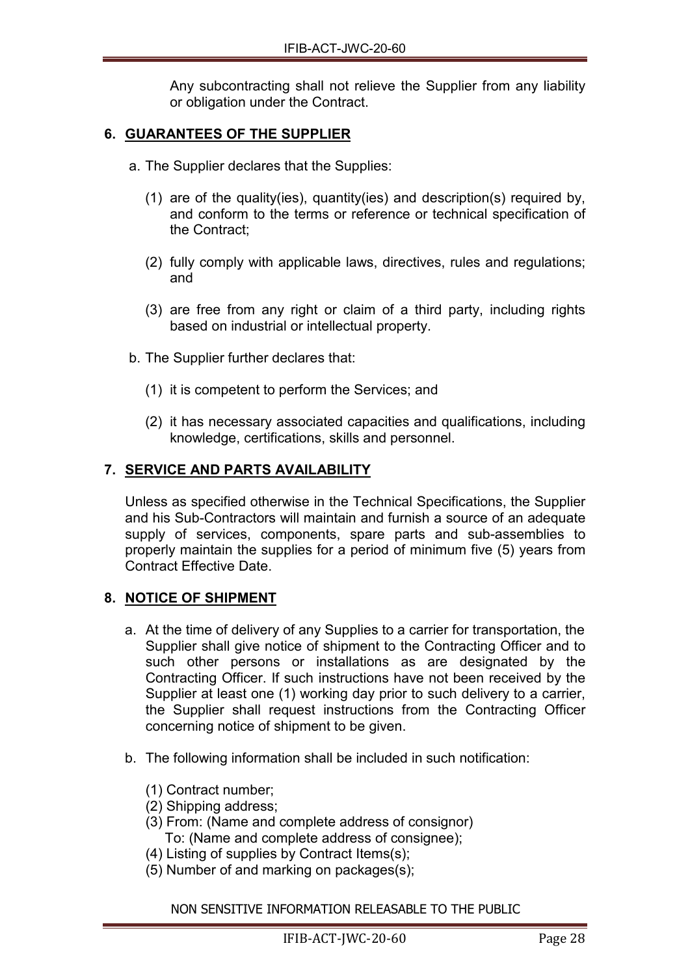Any subcontracting shall not relieve the Supplier from any liability or obligation under the Contract.

# **6. GUARANTEES OF THE SUPPLIER**

- a. The Supplier declares that the Supplies:
	- (1) are of the quality(ies), quantity(ies) and description(s) required by, and conform to the terms or reference or technical specification of the Contract;
	- (2) fully comply with applicable laws, directives, rules and regulations; and
	- (3) are free from any right or claim of a third party, including rights based on industrial or intellectual property.
- b. The Supplier further declares that:
	- (1) it is competent to perform the Services; and
	- (2) it has necessary associated capacities and qualifications, including knowledge, certifications, skills and personnel.

# **7. SERVICE AND PARTS AVAILABILITY**

Unless as specified otherwise in the Technical Specifications, the Supplier and his Sub-Contractors will maintain and furnish a source of an adequate supply of services, components, spare parts and sub-assemblies to properly maintain the supplies for a period of minimum five (5) years from Contract Effective Date.

# **8. NOTICE OF SHIPMENT**

- a. At the time of delivery of any Supplies to a carrier for transportation, the Supplier shall give notice of shipment to the Contracting Officer and to such other persons or installations as are designated by the Contracting Officer. If such instructions have not been received by the Supplier at least one (1) working day prior to such delivery to a carrier, the Supplier shall request instructions from the Contracting Officer concerning notice of shipment to be given.
- b. The following information shall be included in such notification:
	- (1) Contract number;
	- (2) Shipping address;
	- (3) From: (Name and complete address of consignor) To: (Name and complete address of consignee);
	- (4) Listing of supplies by Contract Items(s);
	- (5) Number of and marking on packages(s);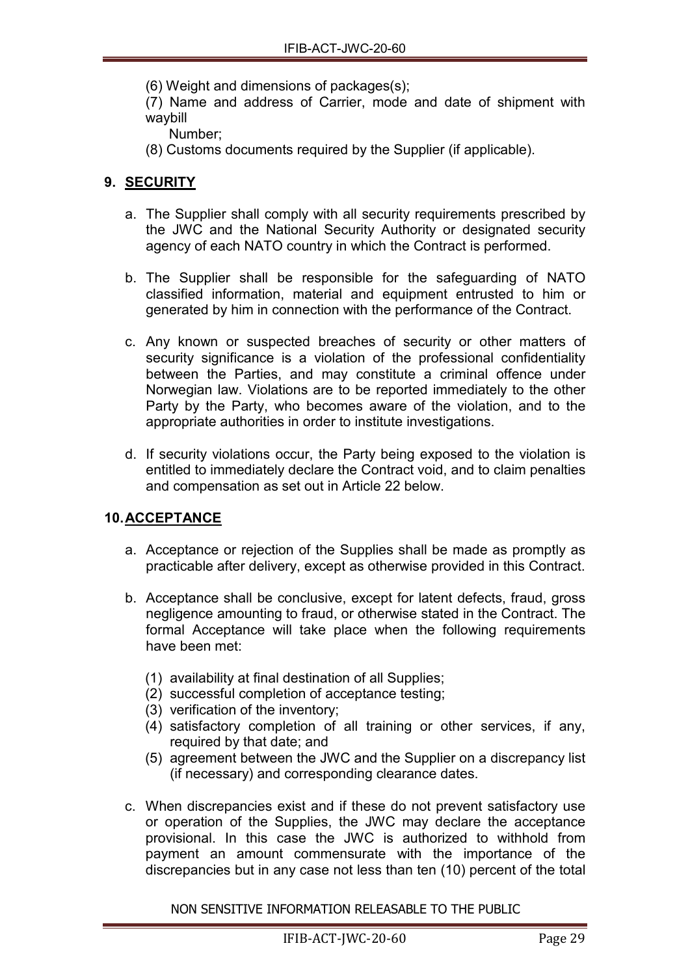(6) Weight and dimensions of packages(s);

(7) Name and address of Carrier, mode and date of shipment with waybill

- Number;
- (8) Customs documents required by the Supplier (if applicable).

# **9. SECURITY**

- a. The Supplier shall comply with all security requirements prescribed by the JWC and the National Security Authority or designated security agency of each NATO country in which the Contract is performed.
- b. The Supplier shall be responsible for the safeguarding of NATO classified information, material and equipment entrusted to him or generated by him in connection with the performance of the Contract.
- c. Any known or suspected breaches of security or other matters of security significance is a violation of the professional confidentiality between the Parties, and may constitute a criminal offence under Norwegian law. Violations are to be reported immediately to the other Party by the Party, who becomes aware of the violation, and to the appropriate authorities in order to institute investigations.
- d. If security violations occur, the Party being exposed to the violation is entitled to immediately declare the Contract void, and to claim penalties and compensation as set out in Article 22 below.

# **10.ACCEPTANCE**

- a. Acceptance or rejection of the Supplies shall be made as promptly as practicable after delivery, except as otherwise provided in this Contract.
- b. Acceptance shall be conclusive, except for latent defects, fraud, gross negligence amounting to fraud, or otherwise stated in the Contract. The formal Acceptance will take place when the following requirements have been met:
	- (1) availability at final destination of all Supplies;
	- (2) successful completion of acceptance testing;
	- (3) verification of the inventory;
	- (4) satisfactory completion of all training or other services, if any, required by that date; and
	- (5) agreement between the JWC and the Supplier on a discrepancy list (if necessary) and corresponding clearance dates.
- c. When discrepancies exist and if these do not prevent satisfactory use or operation of the Supplies, the JWC may declare the acceptance provisional. In this case the JWC is authorized to withhold from payment an amount commensurate with the importance of the discrepancies but in any case not less than ten (10) percent of the total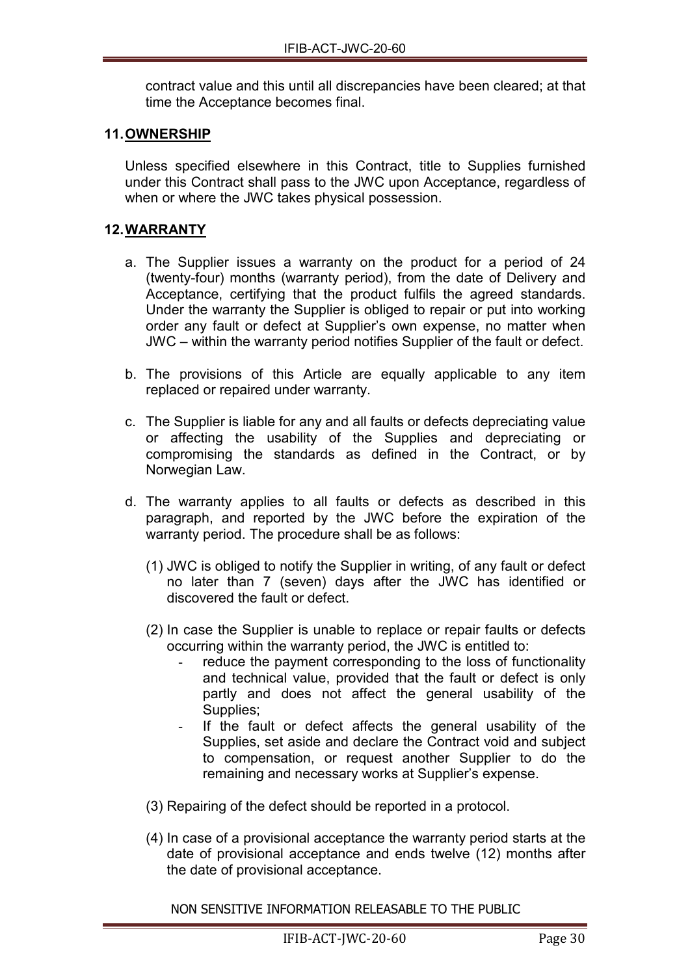contract value and this until all discrepancies have been cleared; at that time the Acceptance becomes final.

#### **11.OWNERSHIP**

Unless specified elsewhere in this Contract, title to Supplies furnished under this Contract shall pass to the JWC upon Acceptance, regardless of when or where the JWC takes physical possession.

#### **12.WARRANTY**

- a. The Supplier issues a warranty on the product for a period of 24 (twenty-four) months (warranty period), from the date of Delivery and Acceptance, certifying that the product fulfils the agreed standards. Under the warranty the Supplier is obliged to repair or put into working order any fault or defect at Supplier's own expense, no matter when JWC – within the warranty period notifies Supplier of the fault or defect.
- b. The provisions of this Article are equally applicable to any item replaced or repaired under warranty.
- c. The Supplier is liable for any and all faults or defects depreciating value or affecting the usability of the Supplies and depreciating or compromising the standards as defined in the Contract, or by Norwegian Law.
- d. The warranty applies to all faults or defects as described in this paragraph, and reported by the JWC before the expiration of the warranty period. The procedure shall be as follows:
	- (1) JWC is obliged to notify the Supplier in writing, of any fault or defect no later than 7 (seven) days after the JWC has identified or discovered the fault or defect.
	- (2) In case the Supplier is unable to replace or repair faults or defects occurring within the warranty period, the JWC is entitled to:
		- reduce the payment corresponding to the loss of functionality and technical value, provided that the fault or defect is only partly and does not affect the general usability of the Supplies;
		- If the fault or defect affects the general usability of the Supplies, set aside and declare the Contract void and subject to compensation, or request another Supplier to do the remaining and necessary works at Supplier's expense.
	- (3) Repairing of the defect should be reported in a protocol.
	- (4) In case of a provisional acceptance the warranty period starts at the date of provisional acceptance and ends twelve (12) months after the date of provisional acceptance.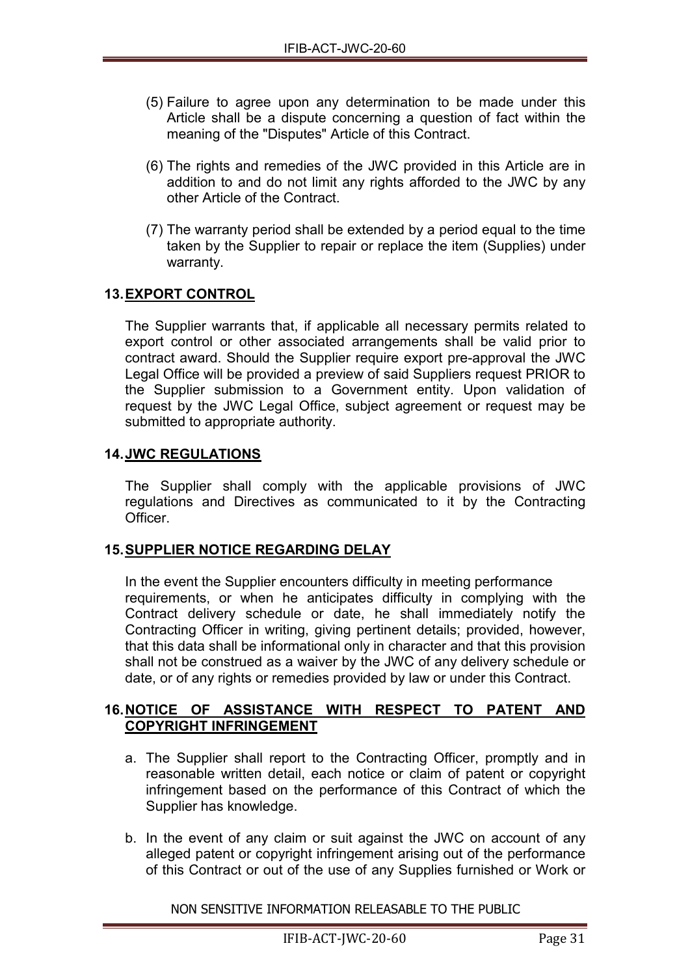- (5) Failure to agree upon any determination to be made under this Article shall be a dispute concerning a question of fact within the meaning of the "Disputes" Article of this Contract.
- (6) The rights and remedies of the JWC provided in this Article are in addition to and do not limit any rights afforded to the JWC by any other Article of the Contract.
- (7) The warranty period shall be extended by a period equal to the time taken by the Supplier to repair or replace the item (Supplies) under warranty.

# **13.EXPORT CONTROL**

The Supplier warrants that, if applicable all necessary permits related to export control or other associated arrangements shall be valid prior to contract award. Should the Supplier require export pre-approval the JWC Legal Office will be provided a preview of said Suppliers request PRIOR to the Supplier submission to a Government entity. Upon validation of request by the JWC Legal Office, subject agreement or request may be submitted to appropriate authority.

# **14.JWC REGULATIONS**

The Supplier shall comply with the applicable provisions of JWC regulations and Directives as communicated to it by the Contracting Officer.

# **15.SUPPLIER NOTICE REGARDING DELAY**

In the event the Supplier encounters difficulty in meeting performance requirements, or when he anticipates difficulty in complying with the Contract delivery schedule or date, he shall immediately notify the Contracting Officer in writing, giving pertinent details; provided, however, that this data shall be informational only in character and that this provision shall not be construed as a waiver by the JWC of any delivery schedule or date, or of any rights or remedies provided by law or under this Contract.

# **16.NOTICE OF ASSISTANCE WITH RESPECT TO PATENT AND COPYRIGHT INFRINGEMENT**

- a. The Supplier shall report to the Contracting Officer, promptly and in reasonable written detail, each notice or claim of patent or copyright infringement based on the performance of this Contract of which the Supplier has knowledge.
- b. In the event of any claim or suit against the JWC on account of any alleged patent or copyright infringement arising out of the performance of this Contract or out of the use of any Supplies furnished or Work or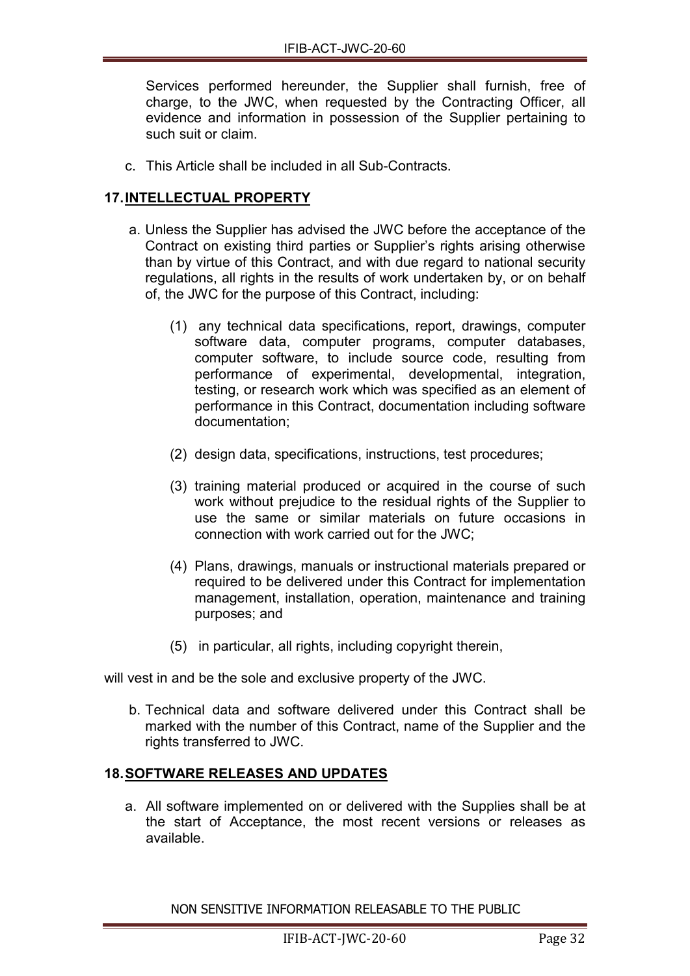Services performed hereunder, the Supplier shall furnish, free of charge, to the JWC, when requested by the Contracting Officer, all evidence and information in possession of the Supplier pertaining to such suit or claim.

c. This Article shall be included in all Sub-Contracts.

# **17.INTELLECTUAL PROPERTY**

- a. Unless the Supplier has advised the JWC before the acceptance of the Contract on existing third parties or Supplier's rights arising otherwise than by virtue of this Contract, and with due regard to national security regulations, all rights in the results of work undertaken by, or on behalf of, the JWC for the purpose of this Contract, including:
	- (1) any technical data specifications, report, drawings, computer software data, computer programs, computer databases, computer software, to include source code, resulting from performance of experimental, developmental, integration, testing, or research work which was specified as an element of performance in this Contract, documentation including software documentation;
	- (2) design data, specifications, instructions, test procedures;
	- (3) training material produced or acquired in the course of such work without prejudice to the residual rights of the Supplier to use the same or similar materials on future occasions in connection with work carried out for the JWC;
	- (4) Plans, drawings, manuals or instructional materials prepared or required to be delivered under this Contract for implementation management, installation, operation, maintenance and training purposes; and
	- (5) in particular, all rights, including copyright therein,

will vest in and be the sole and exclusive property of the JWC.

b. Technical data and software delivered under this Contract shall be marked with the number of this Contract, name of the Supplier and the rights transferred to JWC.

# **18.SOFTWARE RELEASES AND UPDATES**

a. All software implemented on or delivered with the Supplies shall be at the start of Acceptance, the most recent versions or releases as available.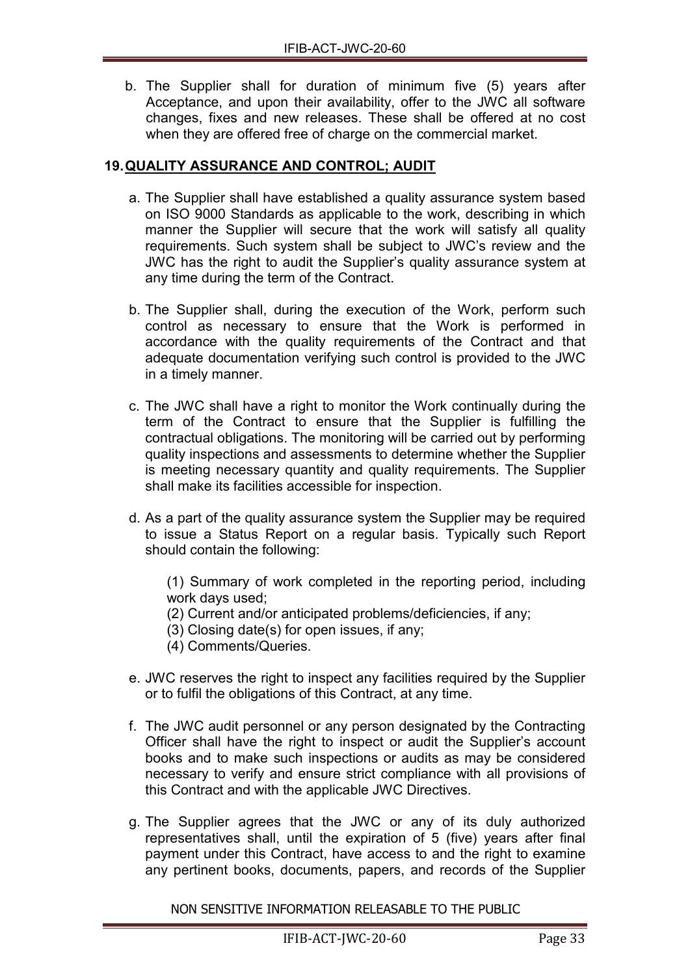b. The Supplier shall for duration of minimum five (5) years after Acceptance, and upon their availability, offer to the JWC all software changes, fixes and new releases. These shall be offered at no cost when they are offered free of charge on the commercial market.

# **19.QUALITY ASSURANCE AND CONTROL; AUDIT**

- a. The Supplier shall have established a quality assurance system based on ISO 9000 Standards as applicable to the work, describing in which manner the Supplier will secure that the work will satisfy all quality requirements. Such system shall be subject to JWC's review and the JWC has the right to audit the Supplier's quality assurance system at any time during the term of the Contract.
- b. The Supplier shall, during the execution of the Work, perform such control as necessary to ensure that the Work is performed in accordance with the quality requirements of the Contract and that adequate documentation verifying such control is provided to the JWC in a timely manner.
- c. The JWC shall have a right to monitor the Work continually during the term of the Contract to ensure that the Supplier is fulfilling the contractual obligations. The monitoring will be carried out by performing quality inspections and assessments to determine whether the Supplier is meeting necessary quantity and quality requirements. The Supplier shall make its facilities accessible for inspection.
- d. As a part of the quality assurance system the Supplier may be required to issue a Status Report on a regular basis. Typically such Report should contain the following:

(1) Summary of work completed in the reporting period, including work days used;

- (2) Current and/or anticipated problems/deficiencies, if any;
- (3) Closing date(s) for open issues, if any;
- (4) Comments/Queries.
- e. JWC reserves the right to inspect any facilities required by the Supplier or to fulfil the obligations of this Contract, at any time.
- f. The JWC audit personnel or any person designated by the Contracting Officer shall have the right to inspect or audit the Supplier's account books and to make such inspections or audits as may be considered necessary to verify and ensure strict compliance with all provisions of this Contract and with the applicable JWC Directives.
- g. The Supplier agrees that the JWC or any of its duly authorized representatives shall, until the expiration of 5 (five) years after final payment under this Contract, have access to and the right to examine any pertinent books, documents, papers, and records of the Supplier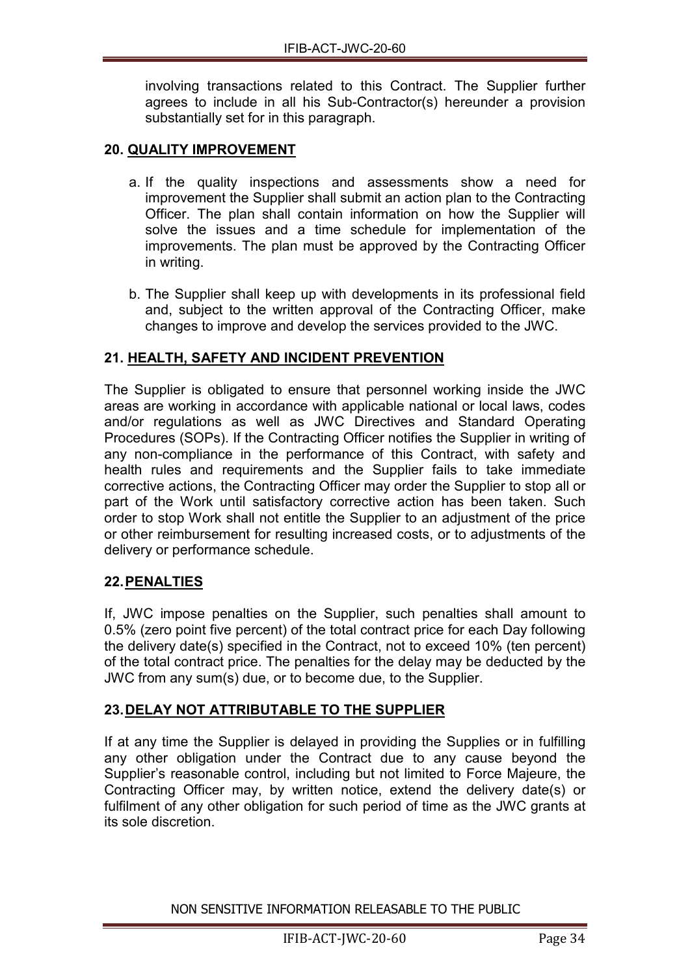involving transactions related to this Contract. The Supplier further agrees to include in all his Sub-Contractor(s) hereunder a provision substantially set for in this paragraph.

# **20. QUALITY IMPROVEMENT**

- a. If the quality inspections and assessments show a need for improvement the Supplier shall submit an action plan to the Contracting Officer. The plan shall contain information on how the Supplier will solve the issues and a time schedule for implementation of the improvements. The plan must be approved by the Contracting Officer in writing.
- b. The Supplier shall keep up with developments in its professional field and, subject to the written approval of the Contracting Officer, make changes to improve and develop the services provided to the JWC.

# **21. HEALTH, SAFETY AND INCIDENT PREVENTION**

The Supplier is obligated to ensure that personnel working inside the JWC areas are working in accordance with applicable national or local laws, codes and/or regulations as well as JWC Directives and Standard Operating Procedures (SOPs). If the Contracting Officer notifies the Supplier in writing of any non-compliance in the performance of this Contract, with safety and health rules and requirements and the Supplier fails to take immediate corrective actions, the Contracting Officer may order the Supplier to stop all or part of the Work until satisfactory corrective action has been taken. Such order to stop Work shall not entitle the Supplier to an adjustment of the price or other reimbursement for resulting increased costs, or to adjustments of the delivery or performance schedule.

# <span id="page-35-0"></span>**22.PENALTIES**

If, JWC impose penalties on the Supplier, such penalties shall amount to 0.5% (zero point five percent) of the total contract price for each Day following the delivery date(s) specified in the Contract, not to exceed 10% (ten percent) of the total contract price. The penalties for the delay may be deducted by the JWC from any sum(s) due, or to become due, to the Supplier.

# **23.DELAY NOT ATTRIBUTABLE TO THE SUPPLIER**

If at any time the Supplier is delayed in providing the Supplies or in fulfilling any other obligation under the Contract due to any cause beyond the Supplier's reasonable control, including but not limited to Force Majeure, the Contracting Officer may, by written notice, extend the delivery date(s) or fulfilment of any other obligation for such period of time as the JWC grants at its sole discretion.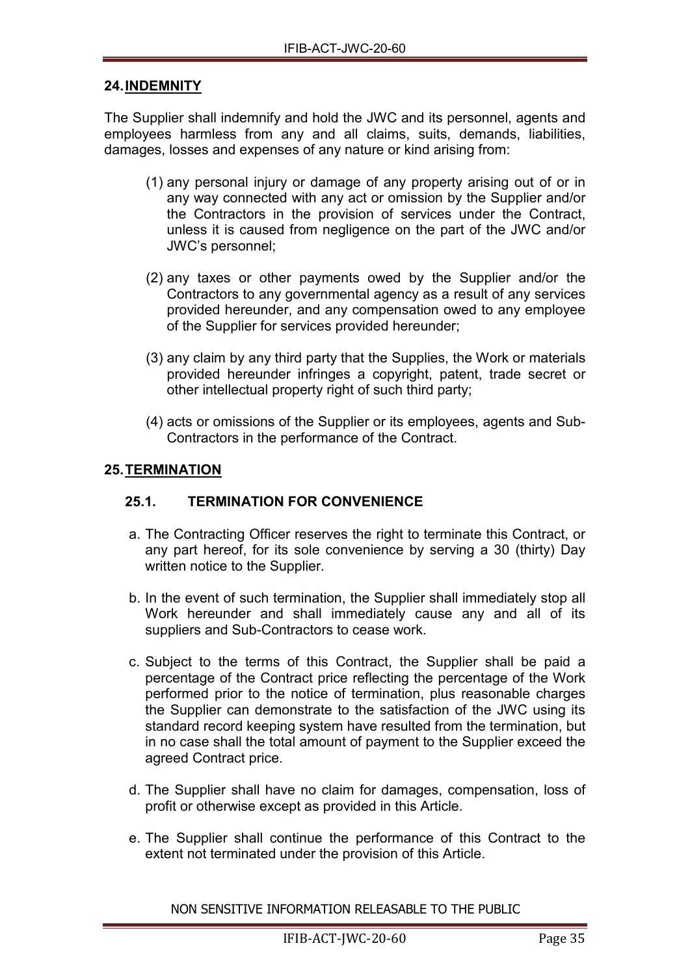# **24.INDEMNITY**

The Supplier shall indemnify and hold the JWC and its personnel, agents and employees harmless from any and all claims, suits, demands, liabilities, damages, losses and expenses of any nature or kind arising from:

- (1) any personal injury or damage of any property arising out of or in any way connected with any act or omission by the Supplier and/or the Contractors in the provision of services under the Contract, unless it is caused from negligence on the part of the JWC and/or JWC's personnel;
- (2) any taxes or other payments owed by the Supplier and/or the Contractors to any governmental agency as a result of any services provided hereunder, and any compensation owed to any employee of the Supplier for services provided hereunder;
- (3) any claim by any third party that the Supplies, the Work or materials provided hereunder infringes a copyright, patent, trade secret or other intellectual property right of such third party;
- (4) acts or omissions of the Supplier or its employees, agents and Sub-Contractors in the performance of the Contract.

#### **25.TERMINATION**

# **25.1. TERMINATION FOR CONVENIENCE**

- a. The Contracting Officer reserves the right to terminate this Contract, or any part hereof, for its sole convenience by serving a 30 (thirty) Day written notice to the Supplier.
- b. In the event of such termination, the Supplier shall immediately stop all Work hereunder and shall immediately cause any and all of its suppliers and Sub-Contractors to cease work.
- c. Subject to the terms of this Contract, the Supplier shall be paid a percentage of the Contract price reflecting the percentage of the Work performed prior to the notice of termination, plus reasonable charges the Supplier can demonstrate to the satisfaction of the JWC using its standard record keeping system have resulted from the termination, but in no case shall the total amount of payment to the Supplier exceed the agreed Contract price.
- d. The Supplier shall have no claim for damages, compensation, loss of profit or otherwise except as provided in this Article.
- e. The Supplier shall continue the performance of this Contract to the extent not terminated under the provision of this Article.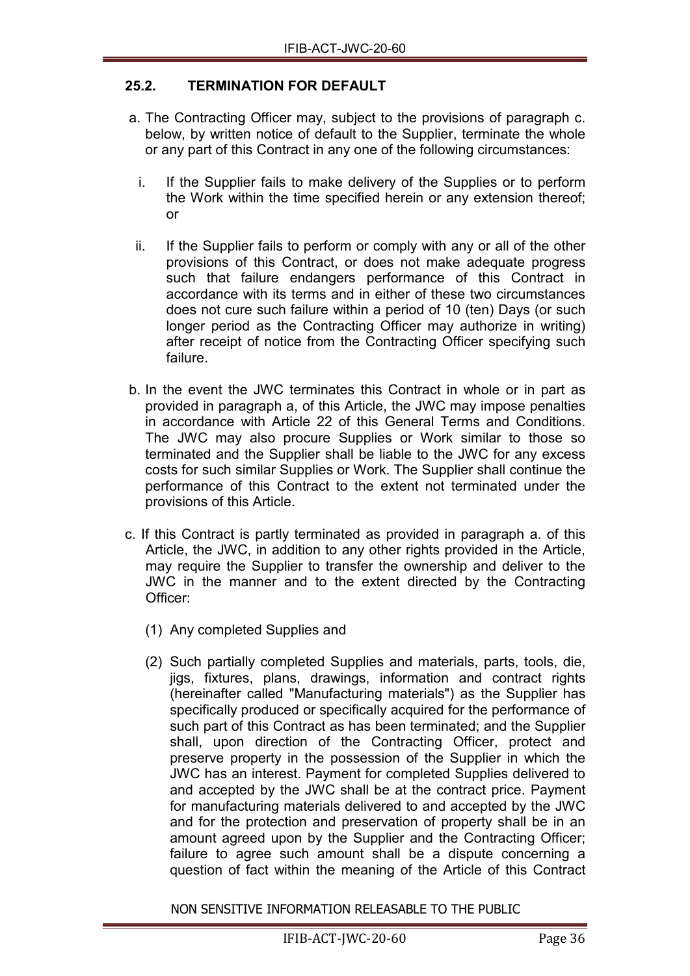# **25.2. TERMINATION FOR DEFAULT**

- a. The Contracting Officer may, subject to the provisions of paragraph c. below, by written notice of default to the Supplier, terminate the whole or any part of this Contract in any one of the following circumstances:
	- i. If the Supplier fails to make delivery of the Supplies or to perform the Work within the time specified herein or any extension thereof; or
- ii. If the Supplier fails to perform or comply with any or all of the other provisions of this Contract, or does not make adequate progress such that failure endangers performance of this Contract in accordance with its terms and in either of these two circumstances does not cure such failure within a period of 10 (ten) Days (or such longer period as the Contracting Officer may authorize in writing) after receipt of notice from the Contracting Officer specifying such failure.
- b. In the event the JWC terminates this Contract in whole or in part as provided in paragraph a, of this Article, the JWC may impose penalties in accordance with Article [22](#page-35-0) of this General Terms and Conditions. The JWC may also procure Supplies or Work similar to those so terminated and the Supplier shall be liable to the JWC for any excess costs for such similar Supplies or Work. The Supplier shall continue the performance of this Contract to the extent not terminated under the provisions of this Article.
- c. If this Contract is partly terminated as provided in paragraph a. of this Article, the JWC, in addition to any other rights provided in the Article, may require the Supplier to transfer the ownership and deliver to the JWC in the manner and to the extent directed by the Contracting Officer:
	- (1) Any completed Supplies and
	- (2) Such partially completed Supplies and materials, parts, tools, die, jigs, fixtures, plans, drawings, information and contract rights (hereinafter called "Manufacturing materials") as the Supplier has specifically produced or specifically acquired for the performance of such part of this Contract as has been terminated; and the Supplier shall, upon direction of the Contracting Officer, protect and preserve property in the possession of the Supplier in which the JWC has an interest. Payment for completed Supplies delivered to and accepted by the JWC shall be at the contract price. Payment for manufacturing materials delivered to and accepted by the JWC and for the protection and preservation of property shall be in an amount agreed upon by the Supplier and the Contracting Officer; failure to agree such amount shall be a dispute concerning a question of fact within the meaning of the Article of this Contract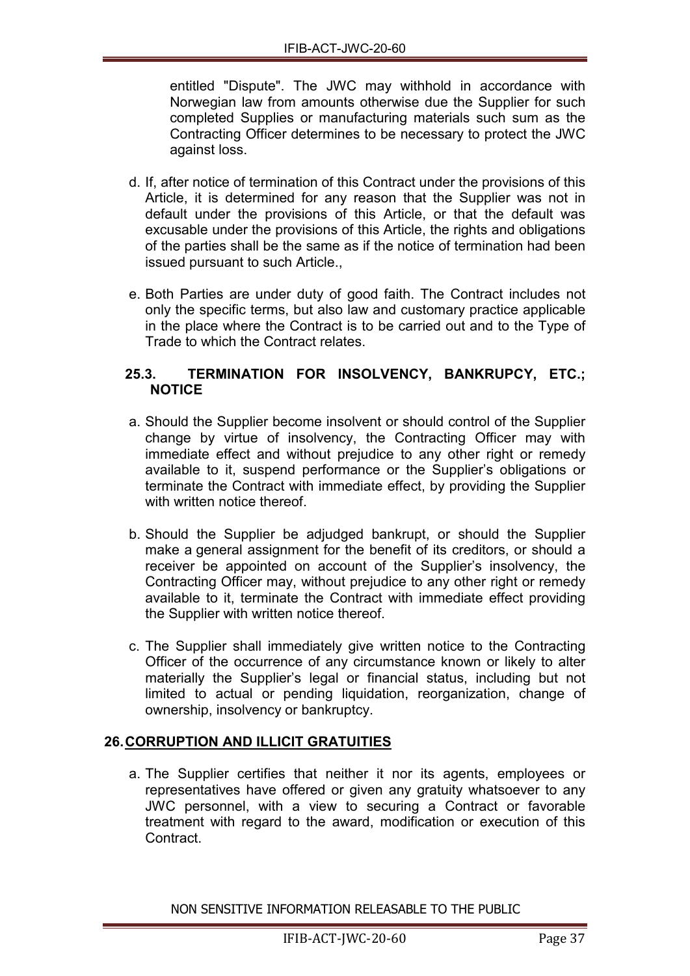entitled "Dispute". The JWC may withhold in accordance with Norwegian law from amounts otherwise due the Supplier for such completed Supplies or manufacturing materials such sum as the Contracting Officer determines to be necessary to protect the JWC against loss.

- d. If, after notice of termination of this Contract under the provisions of this Article, it is determined for any reason that the Supplier was not in default under the provisions of this Article, or that the default was excusable under the provisions of this Article, the rights and obligations of the parties shall be the same as if the notice of termination had been issued pursuant to such Article.,
- e. Both Parties are under duty of good faith. The Contract includes not only the specific terms, but also law and customary practice applicable in the place where the Contract is to be carried out and to the Type of Trade to which the Contract relates.

# **25.3. TERMINATION FOR INSOLVENCY, BANKRUPCY, ETC.; NOTICE**

- a. Should the Supplier become insolvent or should control of the Supplier change by virtue of insolvency, the Contracting Officer may with immediate effect and without prejudice to any other right or remedy available to it, suspend performance or the Supplier's obligations or terminate the Contract with immediate effect, by providing the Supplier with written notice thereof.
- b. Should the Supplier be adjudged bankrupt, or should the Supplier make a general assignment for the benefit of its creditors, or should a receiver be appointed on account of the Supplier's insolvency, the Contracting Officer may, without prejudice to any other right or remedy available to it, terminate the Contract with immediate effect providing the Supplier with written notice thereof.
- c. The Supplier shall immediately give written notice to the Contracting Officer of the occurrence of any circumstance known or likely to alter materially the Supplier's legal or financial status, including but not limited to actual or pending liquidation, reorganization, change of ownership, insolvency or bankruptcy.

# **26.CORRUPTION AND ILLICIT GRATUITIES**

a. The Supplier certifies that neither it nor its agents, employees or representatives have offered or given any gratuity whatsoever to any JWC personnel, with a view to securing a Contract or favorable treatment with regard to the award, modification or execution of this Contract.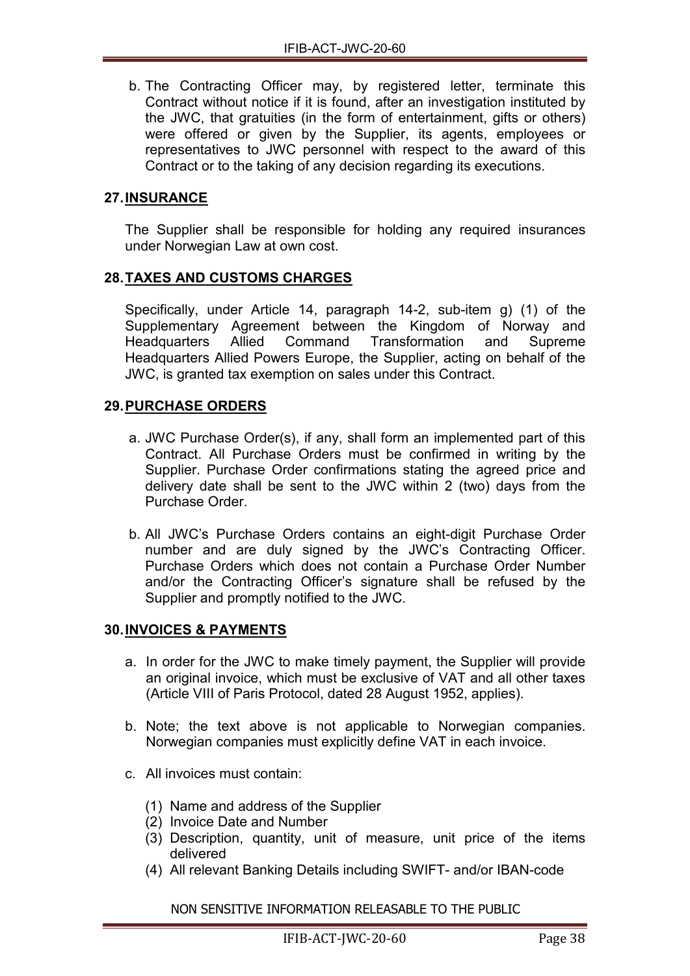b. The Contracting Officer may, by registered letter, terminate this Contract without notice if it is found, after an investigation instituted by the JWC, that gratuities (in the form of entertainment, gifts or others) were offered or given by the Supplier, its agents, employees or representatives to JWC personnel with respect to the award of this Contract or to the taking of any decision regarding its executions.

# **27.INSURANCE**

The Supplier shall be responsible for holding any required insurances under Norwegian Law at own cost.

# **28.TAXES AND CUSTOMS CHARGES**

Specifically, under Article 14, paragraph 14-2, sub-item g) (1) of the Supplementary Agreement between the Kingdom of Norway and Headquarters Allied Command Transformation and Supreme Headquarters Allied Powers Europe, the Supplier, acting on behalf of the JWC, is granted tax exemption on sales under this Contract.

# **29.PURCHASE ORDERS**

- a. JWC Purchase Order(s), if any, shall form an implemented part of this Contract. All Purchase Orders must be confirmed in writing by the Supplier. Purchase Order confirmations stating the agreed price and delivery date shall be sent to the JWC within 2 (two) days from the Purchase Order.
- b. All JWC's Purchase Orders contains an eight-digit Purchase Order number and are duly signed by the JWC's Contracting Officer. Purchase Orders which does not contain a Purchase Order Number and/or the Contracting Officer's signature shall be refused by the Supplier and promptly notified to the JWC.

# **30.INVOICES & PAYMENTS**

- a. In order for the JWC to make timely payment, the Supplier will provide an original invoice, which must be exclusive of VAT and all other taxes (Article VIII of Paris Protocol, dated 28 August 1952, applies).
- b. Note; the text above is not applicable to Norwegian companies. Norwegian companies must explicitly define VAT in each invoice.
- c. All invoices must contain:
	- (1) Name and address of the Supplier
	- (2) Invoice Date and Number
	- (3) Description, quantity, unit of measure, unit price of the items delivered
	- (4) All relevant Banking Details including SWIFT- and/or IBAN-code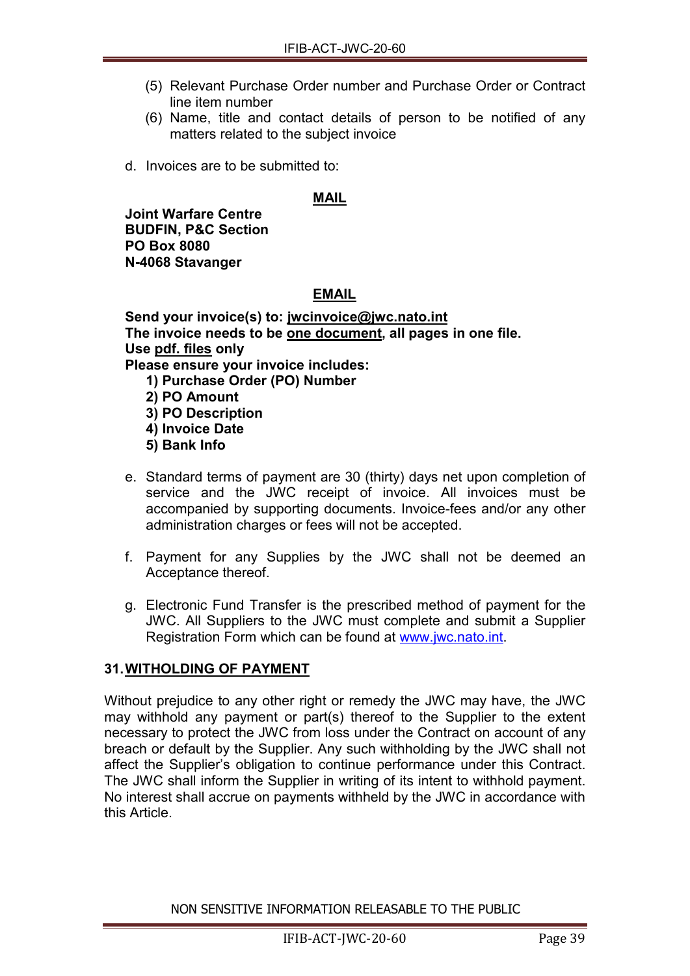- (5) Relevant Purchase Order number and Purchase Order or Contract line item number
- (6) Name, title and contact details of person to be notified of any matters related to the subject invoice
- d. Invoices are to be submitted to:

#### **MAIL**

**Joint Warfare Centre BUDFIN, P&C Section PO Box 8080 N-4068 Stavanger**

#### **EMAIL**

**Send your invoice(s) to: jw[cinvoice@jwc.nato.int](mailto:invoice@jwc.nato.int) The invoice needs to be one document, all pages in one file. Use pdf. files only Please ensure your invoice includes: 1) Purchase Order (PO) Number**

- **2) PO Amount**
- **3) PO Description**
- **4) Invoice Date**
- **5) Bank Info**
- e. Standard terms of payment are 30 (thirty) days net upon completion of service and the JWC receipt of invoice. All invoices must be accompanied by supporting documents. Invoice-fees and/or any other administration charges or fees will not be accepted.
- f. Payment for any Supplies by the JWC shall not be deemed an Acceptance thereof.
- g. Electronic Fund Transfer is the prescribed method of payment for the JWC. All Suppliers to the JWC must complete and submit a Supplier Registration Form which can be found at [www.jwc.nato.int.](http://www.jwc.nato.int/)

# **31.WITHOLDING OF PAYMENT**

Without prejudice to any other right or remedy the JWC may have, the JWC may withhold any payment or part(s) thereof to the Supplier to the extent necessary to protect the JWC from loss under the Contract on account of any breach or default by the Supplier. Any such withholding by the JWC shall not affect the Supplier's obligation to continue performance under this Contract. The JWC shall inform the Supplier in writing of its intent to withhold payment. No interest shall accrue on payments withheld by the JWC in accordance with this Article.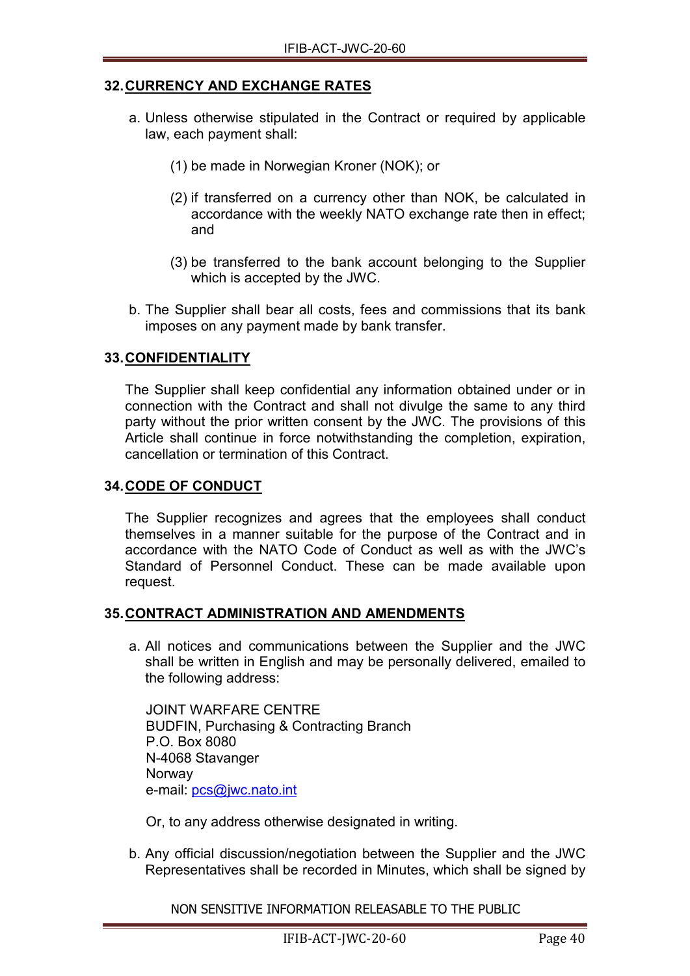# **32.CURRENCY AND EXCHANGE RATES**

- a. Unless otherwise stipulated in the Contract or required by applicable law, each payment shall:
	- (1) be made in Norwegian Kroner (NOK); or
	- (2) if transferred on a currency other than NOK, be calculated in accordance with the weekly NATO exchange rate then in effect; and
	- (3) be transferred to the bank account belonging to the Supplier which is accepted by the JWC.
- b. The Supplier shall bear all costs, fees and commissions that its bank imposes on any payment made by bank transfer.

# **33.CONFIDENTIALITY**

The Supplier shall keep confidential any information obtained under or in connection with the Contract and shall not divulge the same to any third party without the prior written consent by the JWC. The provisions of this Article shall continue in force notwithstanding the completion, expiration, cancellation or termination of this Contract.

# **34.CODE OF CONDUCT**

The Supplier recognizes and agrees that the employees shall conduct themselves in a manner suitable for the purpose of the Contract and in accordance with the NATO Code of Conduct as well as with the JWC's Standard of Personnel Conduct. These can be made available upon request.

# **35.CONTRACT ADMINISTRATION AND AMENDMENTS**

a. All notices and communications between the Supplier and the JWC shall be written in English and may be personally delivered, emailed to the following address:

JOINT WARFARE CENTRE BUDFIN, Purchasing & Contracting Branch P.O. Box 8080 N-4068 Stavanger Norway e-mail: [pcs@jwc.nato.int](mailto:pcs@jwc.nato.int)

Or, to any address otherwise designated in writing.

b. Any official discussion/negotiation between the Supplier and the JWC Representatives shall be recorded in Minutes, which shall be signed by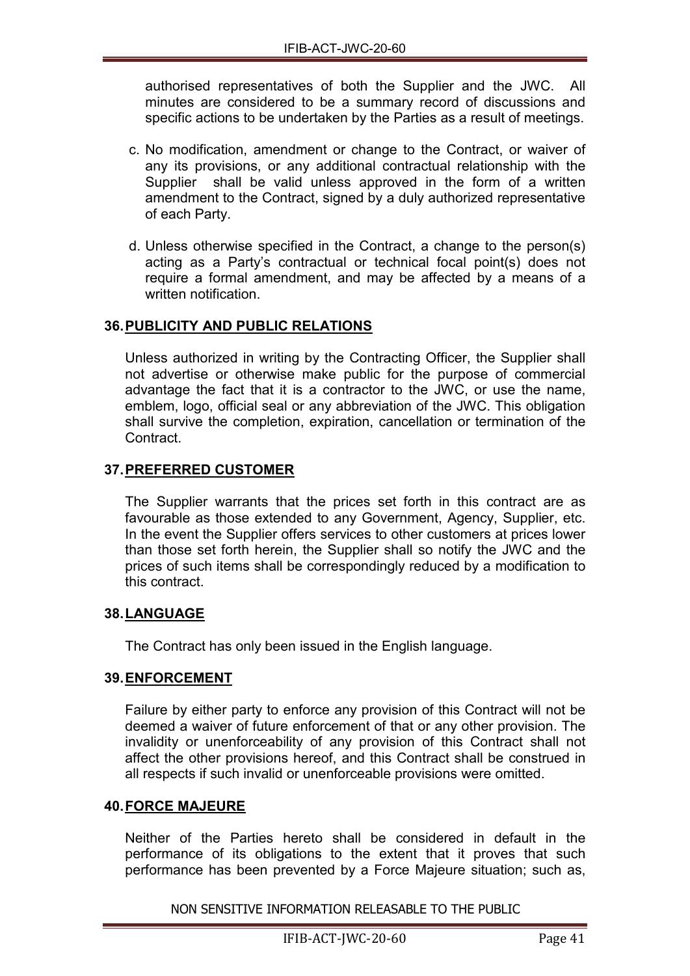authorised representatives of both the Supplier and the JWC. All minutes are considered to be a summary record of discussions and specific actions to be undertaken by the Parties as a result of meetings.

- c. No modification, amendment or change to the Contract, or waiver of any its provisions, or any additional contractual relationship with the Supplier shall be valid unless approved in the form of a written amendment to the Contract, signed by a duly authorized representative of each Party.
- d. Unless otherwise specified in the Contract, a change to the person(s) acting as a Party's contractual or technical focal point(s) does not require a formal amendment, and may be affected by a means of a written notification

# **36.PUBLICITY AND PUBLIC RELATIONS**

Unless authorized in writing by the Contracting Officer, the Supplier shall not advertise or otherwise make public for the purpose of commercial advantage the fact that it is a contractor to the JWC, or use the name, emblem, logo, official seal or any abbreviation of the JWC. This obligation shall survive the completion, expiration, cancellation or termination of the Contract.

# **37.PREFERRED CUSTOMER**

The Supplier warrants that the prices set forth in this contract are as favourable as those extended to any Government, Agency, Supplier, etc. In the event the Supplier offers services to other customers at prices lower than those set forth herein, the Supplier shall so notify the JWC and the prices of such items shall be correspondingly reduced by a modification to this contract.

# **38.LANGUAGE**

The Contract has only been issued in the English language.

# **39.ENFORCEMENT**

Failure by either party to enforce any provision of this Contract will not be deemed a waiver of future enforcement of that or any other provision. The invalidity or unenforceability of any provision of this Contract shall not affect the other provisions hereof, and this Contract shall be construed in all respects if such invalid or unenforceable provisions were omitted.

# **40.FORCE MAJEURE**

Neither of the Parties hereto shall be considered in default in the performance of its obligations to the extent that it proves that such performance has been prevented by a Force Majeure situation; such as,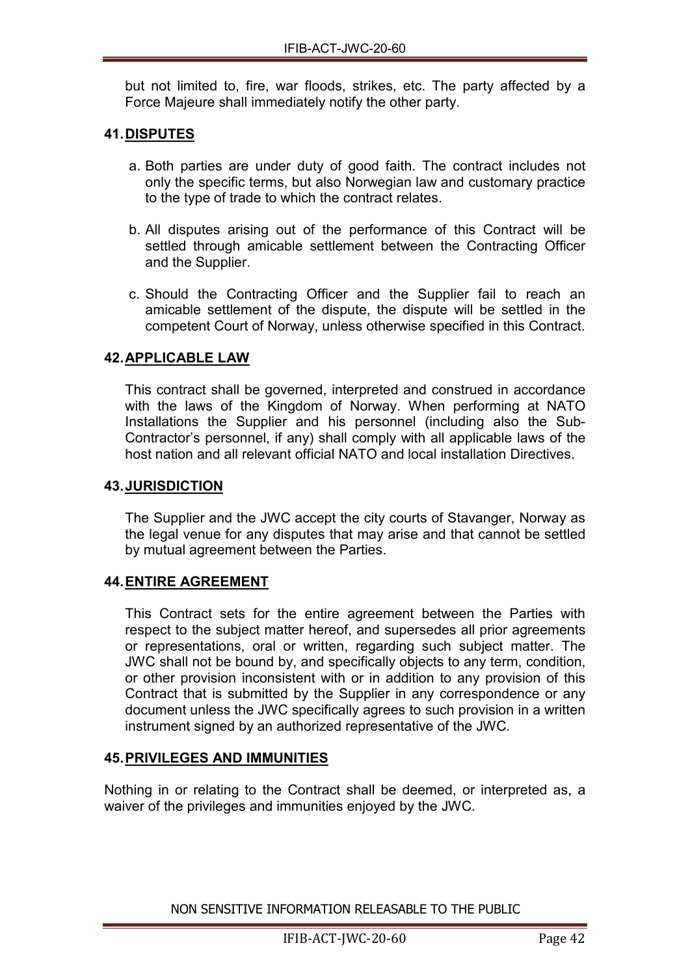but not limited to, fire, war floods, strikes, etc. The party affected by a Force Majeure shall immediately notify the other party.

# **41.DISPUTES**

- a. Both parties are under duty of good faith. The contract includes not only the specific terms, but also Norwegian law and customary practice to the type of trade to which the contract relates.
- b. All disputes arising out of the performance of this Contract will be settled through amicable settlement between the Contracting Officer and the Supplier.
- c. Should the Contracting Officer and the Supplier fail to reach an amicable settlement of the dispute, the dispute will be settled in the competent Court of Norway, unless otherwise specified in this Contract.

# **42.APPLICABLE LAW**

This contract shall be governed, interpreted and construed in accordance with the laws of the Kingdom of Norway. When performing at NATO Installations the Supplier and his personnel (including also the Sub-Contractor's personnel, if any) shall comply with all applicable laws of the host nation and all relevant official NATO and local installation Directives.

#### **43.JURISDICTION**

The Supplier and the JWC accept the city courts of Stavanger, Norway as the legal venue for any disputes that may arise and that cannot be settled by mutual agreement between the Parties.

# **44.ENTIRE AGREEMENT**

This Contract sets for the entire agreement between the Parties with respect to the subject matter hereof, and supersedes all prior agreements or representations, oral or written, regarding such subject matter. The JWC shall not be bound by, and specifically objects to any term, condition, or other provision inconsistent with or in addition to any provision of this Contract that is submitted by the Supplier in any correspondence or any document unless the JWC specifically agrees to such provision in a written instrument signed by an authorized representative of the JWC.

# **45.PRIVILEGES AND IMMUNITIES**

Nothing in or relating to the Contract shall be deemed, or interpreted as, a waiver of the privileges and immunities enjoyed by the JWC.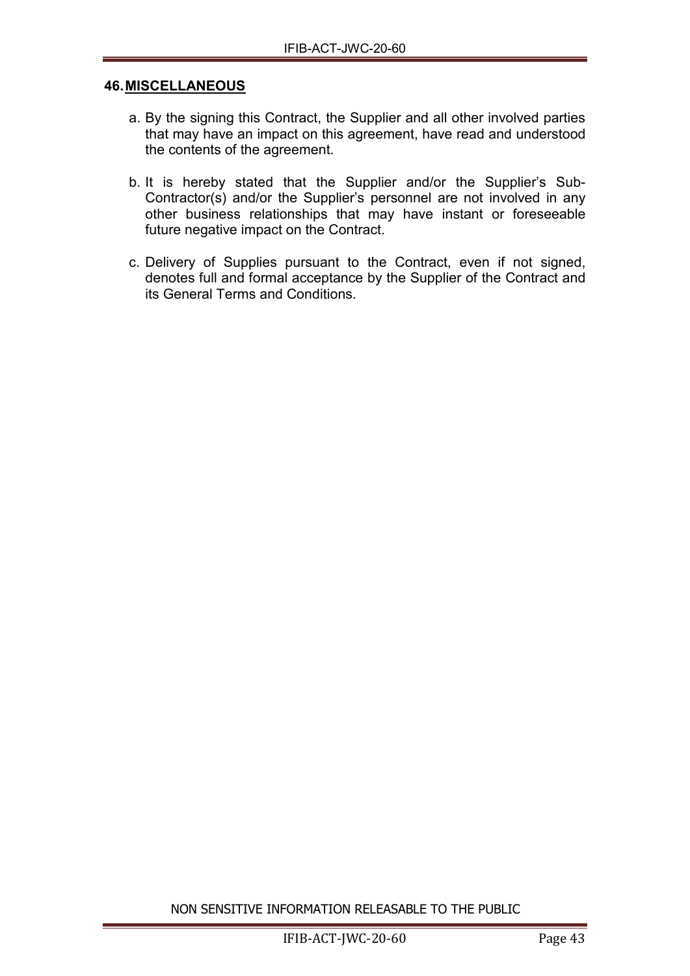# **46.MISCELLANEOUS**

- a. By the signing this Contract, the Supplier and all other involved parties that may have an impact on this agreement, have read and understood the contents of the agreement.
- b. It is hereby stated that the Supplier and/or the Supplier's Sub-Contractor(s) and/or the Supplier's personnel are not involved in any other business relationships that may have instant or foreseeable future negative impact on the Contract.
- c. Delivery of Supplies pursuant to the Contract, even if not signed, denotes full and formal acceptance by the Supplier of the Contract and its General Terms and Conditions.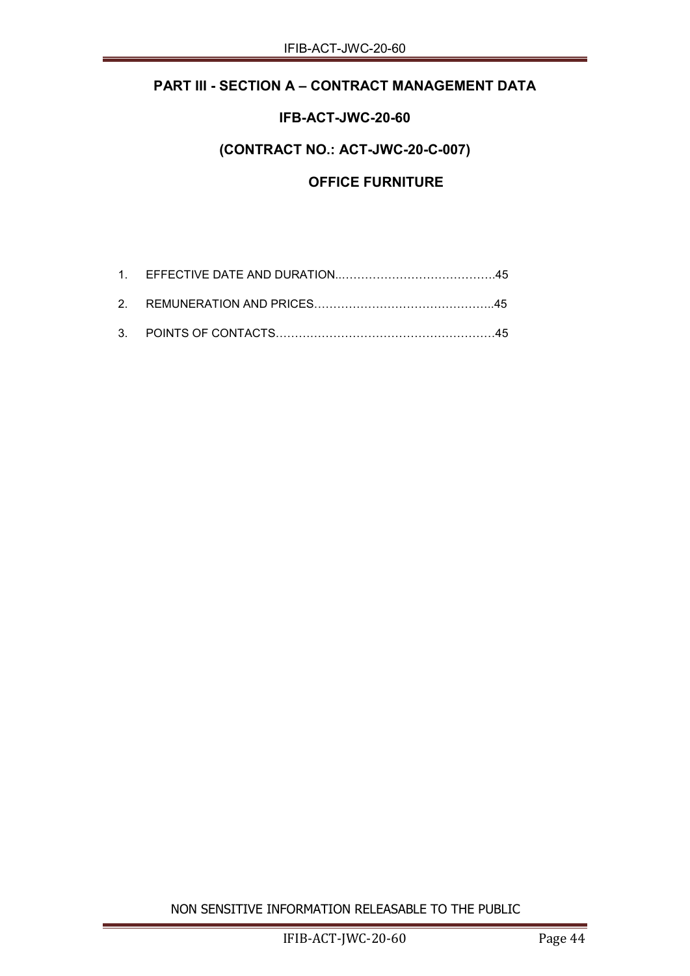# **PART III - SECTION A – CONTRACT MANAGEMENT DATA**

# **IFB-ACT-JWC-20-60**

# **(CONTRACT NO.: ACT-JWC-20-C-007)**

# **OFFICE FURNITURE**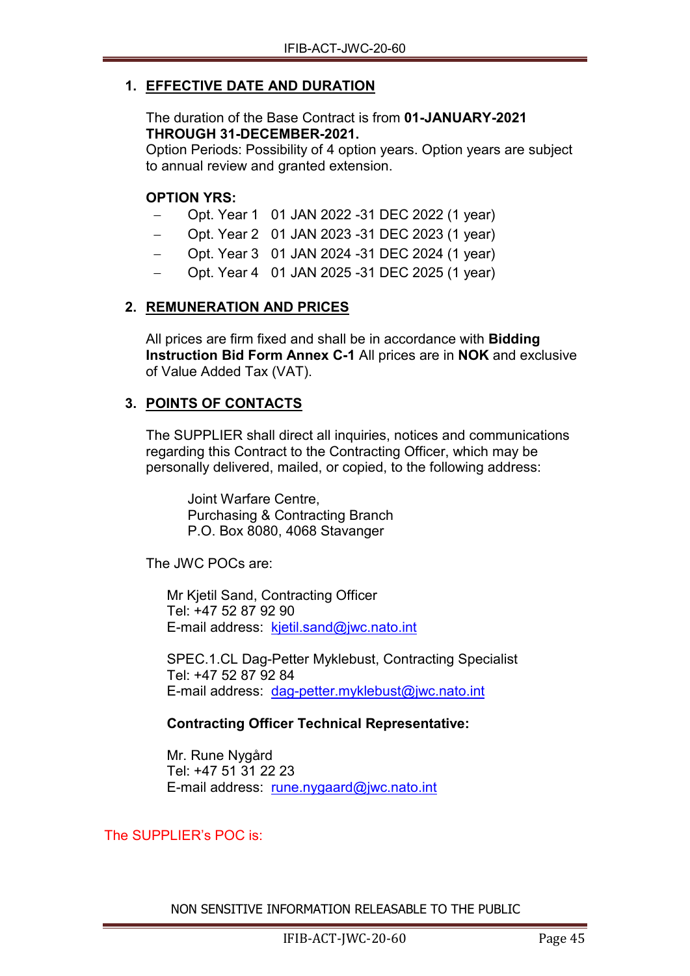# <span id="page-46-0"></span>**1. EFFECTIVE DATE AND DURATION**

# The duration of the Base Contract is from **01-JANUARY-2021 THROUGH 31-DECEMBER-2021.**

Option Periods: Possibility of 4 option years. Option years are subject to annual review and granted extension.

# **OPTION YRS:**

- − Opt. Year 1 01 JAN 2022 -31 DEC 2022 (1 year)
- − Opt. Year 2 01 JAN 2023 -31 DEC 2023 (1 year)
- − Opt. Year 3 01 JAN 2024 -31 DEC 2024 (1 year)
- − Opt. Year 4 01 JAN 2025 -31 DEC 2025 (1 year)

# <span id="page-46-1"></span>**2. REMUNERATION AND PRICES**

All prices are firm fixed and shall be in accordance with **Bidding Instruction Bid Form Annex C-1** All prices are in **NOK** and exclusive of Value Added Tax (VAT).

# <span id="page-46-2"></span>**3. POINTS OF CONTACTS**

The SUPPLIER shall direct all inquiries, notices and communications regarding this Contract to the Contracting Officer, which may be personally delivered, mailed, or copied, to the following address:

Joint Warfare Centre, Purchasing & Contracting Branch P.O. Box 8080, 4068 Stavanger

The JWC POCs are:

Mr Kjetil Sand, Contracting Officer Tel: +47 52 87 92 90 E-mail address: [kjetil.sand@jwc.nato.int](mailto:kjetil.sand@jwc.nato.int) 

SPEC.1.CL Dag-Petter Myklebust, Contracting Specialist Tel: +47 52 87 92 84 E-mail address: [dag-petter.myklebust@jwc.nato.int](mailto:dag-petter.myklebust@jwc.nato.int)

# **Contracting Officer Technical Representative:**

Mr. Rune Nygård Tel: +47 51 31 22 23 E-mail address: [rune.nygaard@jwc.nato.int](mailto:rune.nygaard@jwc.nato.int)

# The SUPPLIER's POC is: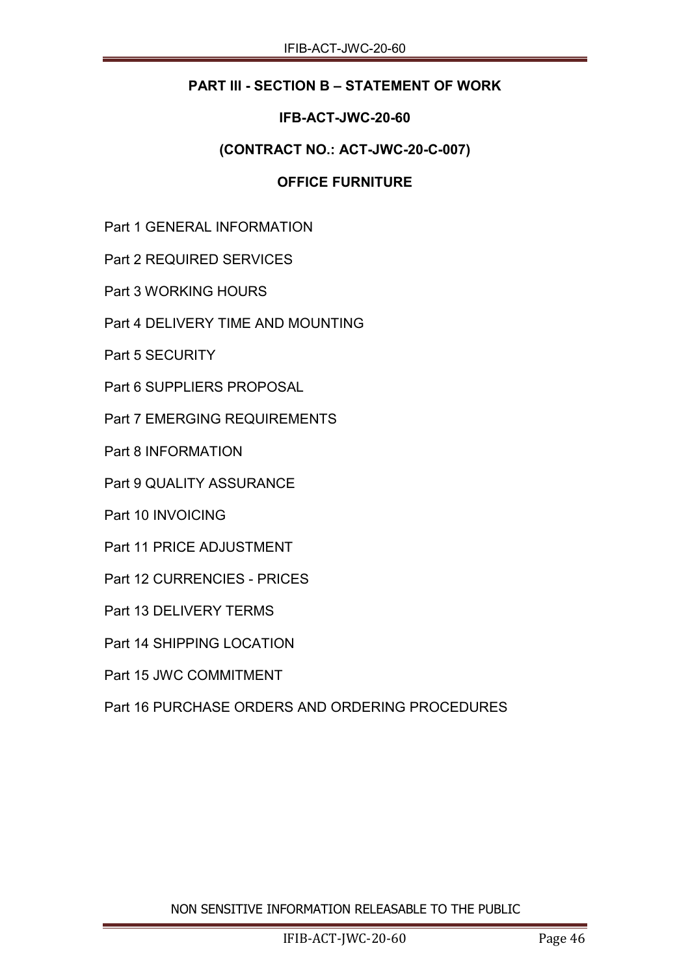# **PART III - SECTION B – STATEMENT OF WORK**

# **IFB-ACT-JWC-20-60**

# **(CONTRACT NO.: ACT-JWC-20-C-007)**

# **OFFICE FURNITURE**

Part 1 GENERAL INFORMATION

Part 2 REQUIRED SERVICES

Part 3 WORKING HOURS

Part 4 DELIVERY TIME AND MOUNTING

Part 5 SECURITY

Part 6 SUPPLIERS PROPOSAL

Part 7 EMERGING REQUIREMENTS

Part 8 INFORMATION

Part 9 QUALITY ASSURANCE

Part 10 INVOICING

Part 11 PRICE ADJUSTMENT

Part 12 CURRENCIES - PRICES

Part 13 DELIVERY TERMS

Part 14 SHIPPING LOCATION

Part 15 JWC COMMITMENT

Part 16 PURCHASE ORDERS AND ORDERING PROCEDURES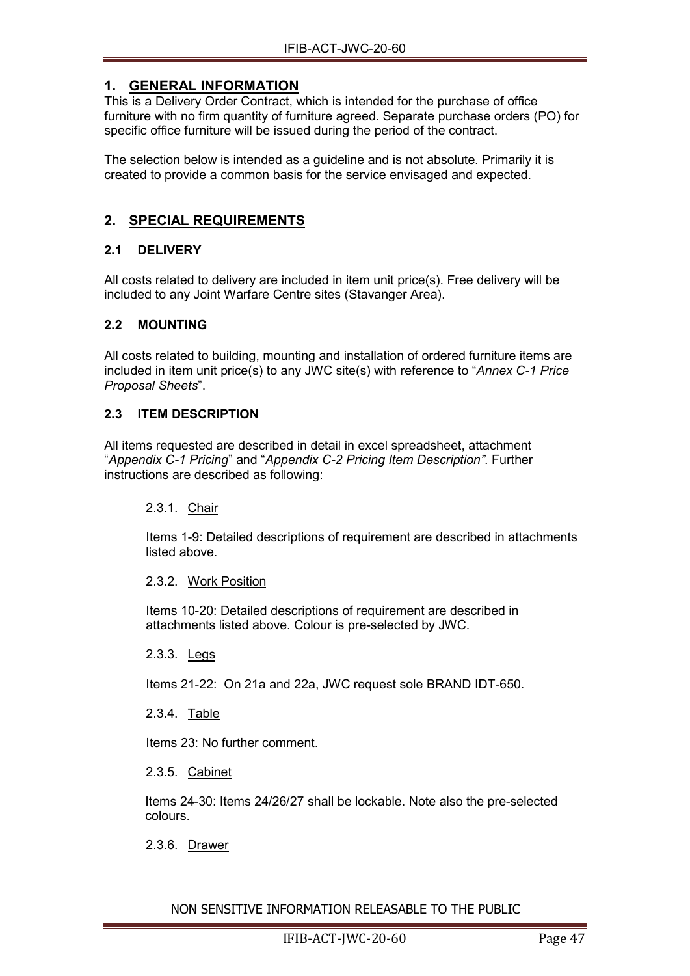# **1. GENERAL INFORMATION**

This is a Delivery Order Contract, which is intended for the purchase of office furniture with no firm quantity of furniture agreed. Separate purchase orders (PO) for specific office furniture will be issued during the period of the contract.

The selection below is intended as a guideline and is not absolute. Primarily it is created to provide a common basis for the service envisaged and expected.

# **2. SPECIAL REQUIREMENTS**

#### **2.1 DELIVERY**

All costs related to delivery are included in item unit price(s). Free delivery will be included to any Joint Warfare Centre sites (Stavanger Area).

#### **2.2 MOUNTING**

All costs related to building, mounting and installation of ordered furniture items are included in item unit price(s) to any JWC site(s) with reference to "*Annex C-1 Price Proposal Sheets*".

#### **2.3 ITEM DESCRIPTION**

All items requested are described in detail in excel spreadsheet, attachment "*Appendix C-1 Pricing*" and "*Appendix C-2 Pricing Item Description"*. Further instructions are described as following:

#### 2.3.1. Chair

Items 1-9: Detailed descriptions of requirement are described in attachments listed above.

#### 2.3.2. Work Position

Items 10-20: Detailed descriptions of requirement are described in attachments listed above. Colour is pre-selected by JWC.

#### 2.3.3. Legs

Items 21-22: On 21a and 22a, JWC request sole BRAND IDT-650.

2.3.4. Table

Items 23: No further comment.

#### 2.3.5. Cabinet

Items 24-30: Items 24/26/27 shall be lockable. Note also the pre-selected colours.

2.3.6. Drawer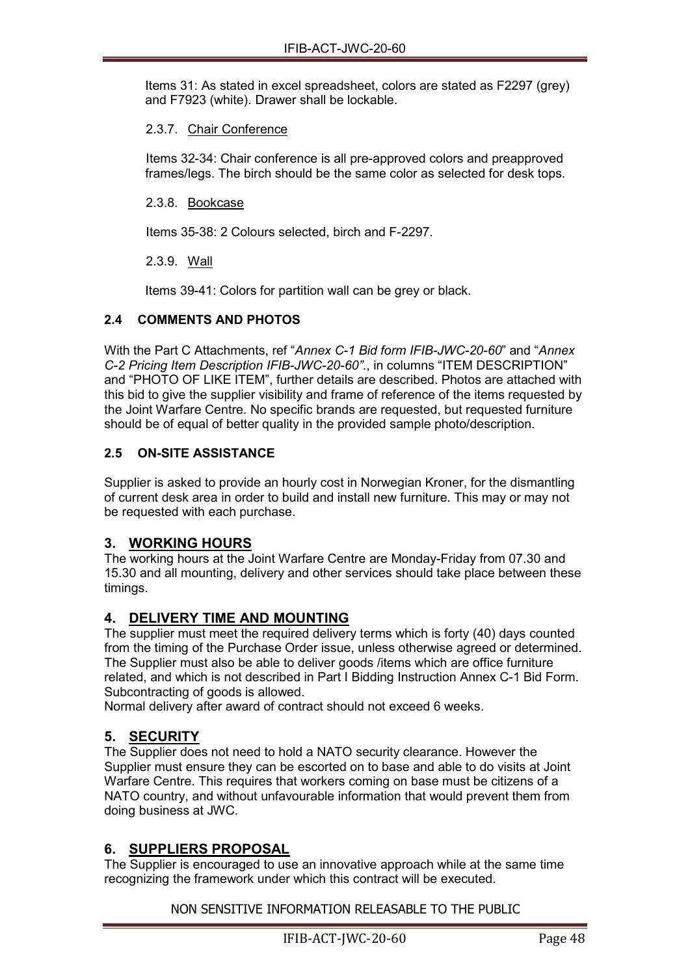Items 31: As stated in excel spreadsheet, colors are stated as F2297 (grey) and F7923 (white). Drawer shall be lockable.

#### 2.3.7. Chair Conference

Items 32-34: Chair conference is all pre-approved colors and preapproved frames/legs. The birch should be the same color as selected for desk tops.

#### 2.3.8. Bookcase

Items 35-38: 2 Colours selected, birch and F-2297.

2.3.9. Wall

Items 39-41: Colors for partition wall can be grey or black.

#### **2.4 COMMENTS AND PHOTOS**

With the Part C Attachments, ref "*Annex C-1 Bid form IFIB-JWC-20-60*" and "*Annex C-2 Pricing Item Description IFIB-JWC-20-60"*., in columns "ITEM DESCRIPTION" and "PHOTO OF LIKE ITEM", further details are described. Photos are attached with this bid to give the supplier visibility and frame of reference of the items requested by the Joint Warfare Centre. No specific brands are requested, but requested furniture should be of equal of better quality in the provided sample photo/description.

# **2.5 ON-SITE ASSISTANCE**

Supplier is asked to provide an hourly cost in Norwegian Kroner, for the dismantling of current desk area in order to build and install new furniture. This may or may not be requested with each purchase.

# **3. WORKING HOURS**

The working hours at the Joint Warfare Centre are Monday-Friday from 07.30 and 15.30 and all mounting, delivery and other services should take place between these timings.

# **4. DELIVERY TIME AND MOUNTING**

The supplier must meet the required delivery terms which is forty (40) days counted from the timing of the Purchase Order issue, unless otherwise agreed or determined. The Supplier must also be able to deliver goods /items which are office furniture related, and which is not described in Part I Bidding Instruction Annex C-1 Bid Form. Subcontracting of goods is allowed.

Normal delivery after award of contract should not exceed 6 weeks.

# **5. SECURITY**

The Supplier does not need to hold a NATO security clearance. However the Supplier must ensure they can be escorted on to base and able to do visits at Joint Warfare Centre. This requires that workers coming on base must be citizens of a NATO country, and without unfavourable information that would prevent them from doing business at JWC.

# **6. SUPPLIERS PROPOSAL**

The Supplier is encouraged to use an innovative approach while at the same time recognizing the framework under which this contract will be executed.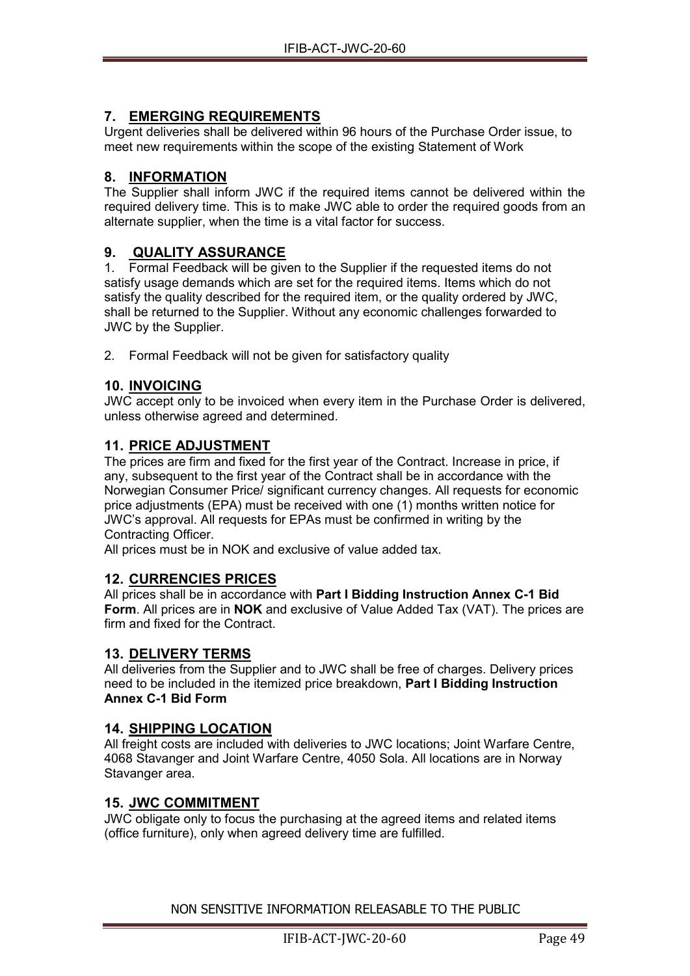# **7. EMERGING REQUIREMENTS**

Urgent deliveries shall be delivered within 96 hours of the Purchase Order issue, to meet new requirements within the scope of the existing Statement of Work

# **8. INFORMATION**

The Supplier shall inform JWC if the required items cannot be delivered within the required delivery time. This is to make JWC able to order the required goods from an alternate supplier, when the time is a vital factor for success.

# **9. QUALITY ASSURANCE**

1. Formal Feedback will be given to the Supplier if the requested items do not satisfy usage demands which are set for the required items. Items which do not satisfy the quality described for the required item, or the quality ordered by JWC, shall be returned to the Supplier. Without any economic challenges forwarded to JWC by the Supplier.

2. Formal Feedback will not be given for satisfactory quality

# **10. INVOICING**

JWC accept only to be invoiced when every item in the Purchase Order is delivered, unless otherwise agreed and determined.

#### **11. PRICE ADJUSTMENT**

The prices are firm and fixed for the first year of the Contract. Increase in price, if any, subsequent to the first year of the Contract shall be in accordance with the Norwegian Consumer Price/ significant currency changes. All requests for economic price adjustments (EPA) must be received with one (1) months written notice for JWC's approval. All requests for EPAs must be confirmed in writing by the Contracting Officer.

All prices must be in NOK and exclusive of value added tax.

# **12. CURRENCIES PRICES**

All prices shall be in accordance with **Part I Bidding Instruction Annex C-1 Bid Form**. All prices are in **NOK** and exclusive of Value Added Tax (VAT). The prices are firm and fixed for the Contract.

#### **13. DELIVERY TERMS**

All deliveries from the Supplier and to JWC shall be free of charges. Delivery prices need to be included in the itemized price breakdown, **Part I Bidding Instruction Annex C-1 Bid Form**

#### **14. SHIPPING LOCATION**

All freight costs are included with deliveries to JWC locations; Joint Warfare Centre, 4068 Stavanger and Joint Warfare Centre, 4050 Sola. All locations are in Norway Stavanger area.

# **15. JWC COMMITMENT**

JWC obligate only to focus the purchasing at the agreed items and related items (office furniture), only when agreed delivery time are fulfilled.